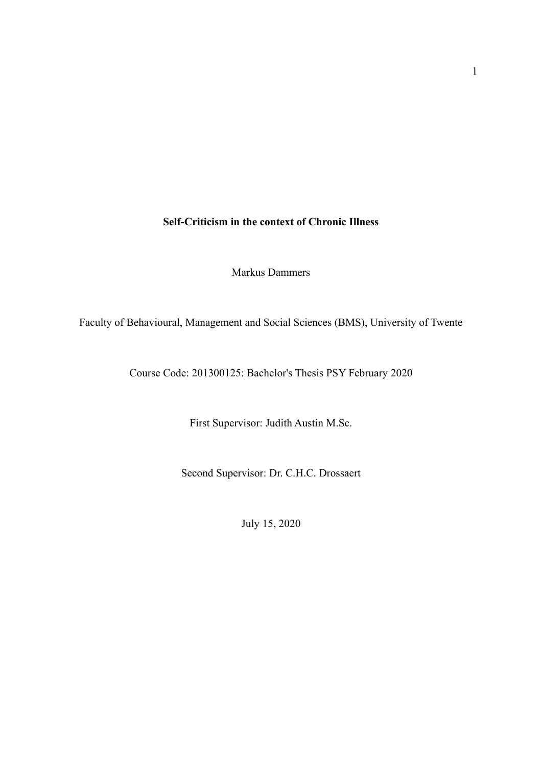# **Self-Criticism in the context of Chronic Illness**

Markus Dammers

Faculty of Behavioural, Management and Social Sciences (BMS), University of Twente

Course Code: 201300125: Bachelor's Thesis PSY February 2020

First Supervisor: Judith Austin M.Sc.

Second Supervisor: Dr. C.H.C. Drossaert

July 15, 2020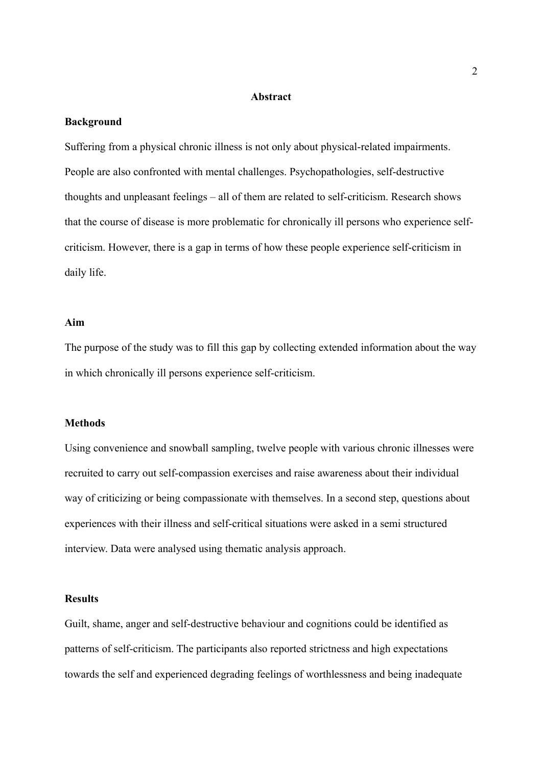#### **Abstract**

#### **Background**

Suffering from a physical chronic illness is not only about physical-related impairments. People are also confronted with mental challenges. Psychopathologies, self-destructive thoughts and unpleasant feelings – all of them are related to self-criticism. Research shows that the course of disease is more problematic for chronically ill persons who experience selfcriticism. However, there is a gap in terms of how these people experience self-criticism in daily life.

#### **Aim**

The purpose of the study was to fill this gap by collecting extended information about the way in which chronically ill persons experience self-criticism.

### **Methods**

Using convenience and snowball sampling, twelve people with various chronic illnesses were recruited to carry out self-compassion exercises and raise awareness about their individual way of criticizing or being compassionate with themselves. In a second step, questions about experiences with their illness and self-critical situations were asked in a semi structured interview. Data were analysed using thematic analysis approach.

#### **Results**

Guilt, shame, anger and self-destructive behaviour and cognitions could be identified as patterns of self-criticism. The participants also reported strictness and high expectations towards the self and experienced degrading feelings of worthlessness and being inadequate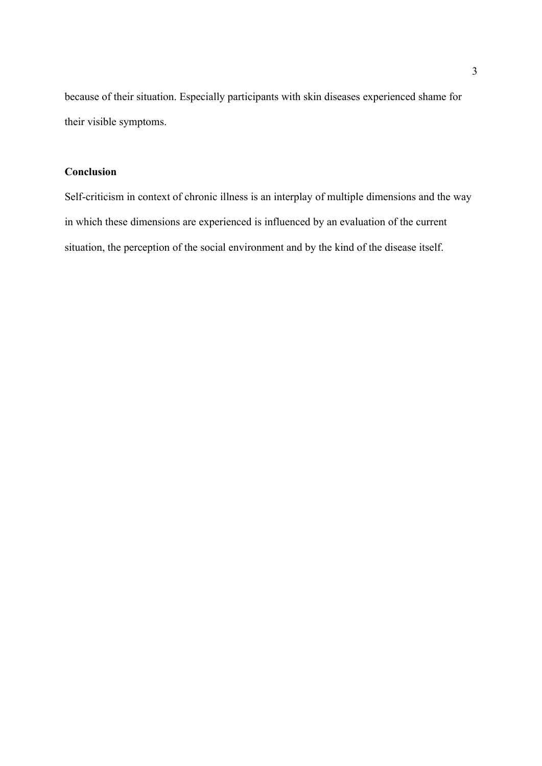because of their situation. Especially participants with skin diseases experienced shame for their visible symptoms.

# **Conclusion**

Self-criticism in context of chronic illness is an interplay of multiple dimensions and the way in which these dimensions are experienced is influenced by an evaluation of the current situation, the perception of the social environment and by the kind of the disease itself.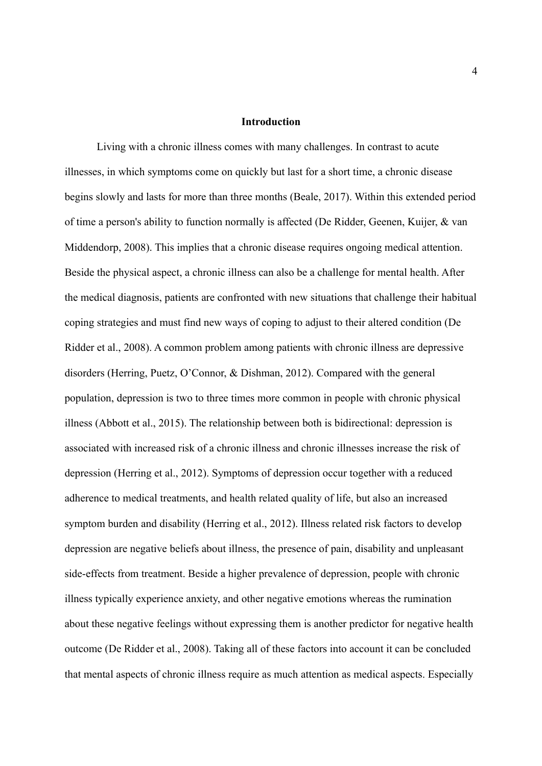#### **Introduction**

Living with a chronic illness comes with many challenges. In contrast to acute illnesses, in which symptoms come on quickly but last for a short time, a chronic disease begins slowly and lasts for more than three months (Beale, 2017). Within this extended period of time a person's ability to function normally is affected (De Ridder, Geenen, Kuijer, & van Middendorp, 2008). This implies that a chronic disease requires ongoing medical attention. Beside the physical aspect, a chronic illness can also be a challenge for mental health. After the medical diagnosis, patients are confronted with new situations that challenge their habitual coping strategies and must find new ways of coping to adjust to their altered condition (De Ridder et al., 2008). A common problem among patients with chronic illness are depressive disorders (Herring, Puetz, O'Connor, & Dishman, 2012). Compared with the general population, depression is two to three times more common in people with chronic physical illness (Abbott et al., 2015). The relationship between both is bidirectional: depression is associated with increased risk of a chronic illness and chronic illnesses increase the risk of depression (Herring et al., 2012). Symptoms of depression occur together with a reduced adherence to medical treatments, and health related quality of life, but also an increased symptom burden and disability (Herring et al., 2012). Illness related risk factors to develop depression are negative beliefs about illness, the presence of pain, disability and unpleasant side-effects from treatment. Beside a higher prevalence of depression, people with chronic illness typically experience anxiety, and other negative emotions whereas the rumination about these negative feelings without expressing them is another predictor for negative health outcome (De Ridder et al., 2008). Taking all of these factors into account it can be concluded that mental aspects of chronic illness require as much attention as medical aspects. Especially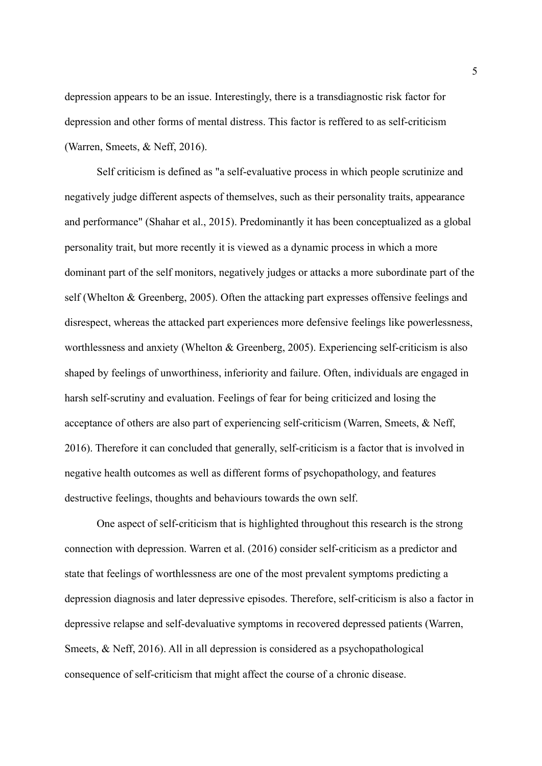depression appears to be an issue. Interestingly, there is a transdiagnostic risk factor for depression and other forms of mental distress. This factor is reffered to as self-criticism (Warren, Smeets, & Neff, 2016).

Self criticism is defined as "a self-evaluative process in which people scrutinize and negatively judge different aspects of themselves, such as their personality traits, appearance and performance" (Shahar et al., 2015). Predominantly it has been conceptualized as a global personality trait, but more recently it is viewed as a dynamic process in which a more dominant part of the self monitors, negatively judges or attacks a more subordinate part of the self (Whelton & Greenberg, 2005). Often the attacking part expresses offensive feelings and disrespect, whereas the attacked part experiences more defensive feelings like powerlessness, worthlessness and anxiety (Whelton & Greenberg, 2005). Experiencing self-criticism is also shaped by feelings of unworthiness, inferiority and failure. Often, individuals are engaged in harsh self-scrutiny and evaluation. Feelings of fear for being criticized and losing the acceptance of others are also part of experiencing self-criticism (Warren, Smeets, & Neff, 2016). Therefore it can concluded that generally, self-criticism is a factor that is involved in negative health outcomes as well as different forms of psychopathology, and features destructive feelings, thoughts and behaviours towards the own self.

One aspect of self-criticism that is highlighted throughout this research is the strong connection with depression. Warren et al. (2016) consider self-criticism as a predictor and state that feelings of worthlessness are one of the most prevalent symptoms predicting a depression diagnosis and later depressive episodes. Therefore, self-criticism is also a factor in depressive relapse and self-devaluative symptoms in recovered depressed patients (Warren, Smeets, & Neff, 2016). All in all depression is considered as a psychopathological consequence of self-criticism that might affect the course of a chronic disease.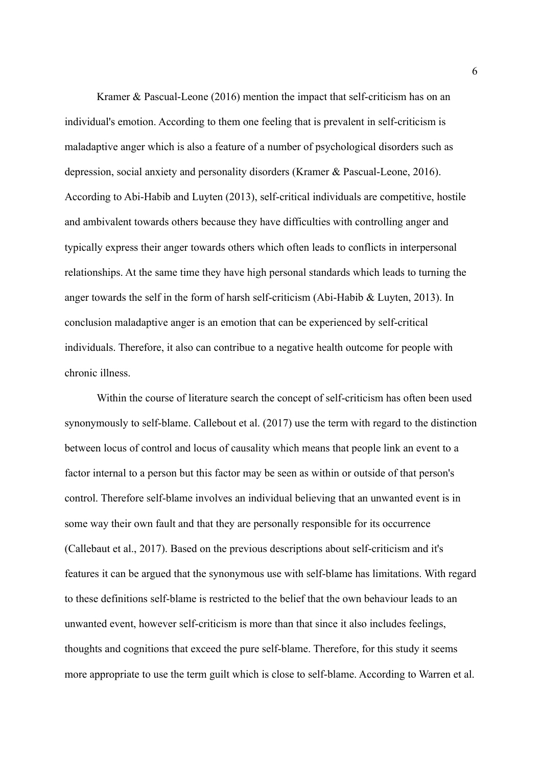Kramer & Pascual-Leone (2016) mention the impact that self-criticism has on an individual's emotion. According to them one feeling that is prevalent in self-criticism is maladaptive anger which is also a feature of a number of psychological disorders such as depression, social anxiety and personality disorders (Kramer & Pascual-Leone, 2016). According to Abi-Habib and Luyten (2013), self-critical individuals are competitive, hostile and ambivalent towards others because they have difficulties with controlling anger and typically express their anger towards others which often leads to conflicts in interpersonal relationships. At the same time they have high personal standards which leads to turning the anger towards the self in the form of harsh self-criticism (Abi-Habib & Luyten, 2013). In conclusion maladaptive anger is an emotion that can be experienced by self-critical individuals. Therefore, it also can contribue to a negative health outcome for people with chronic illness.

Within the course of literature search the concept of self-criticism has often been used synonymously to self-blame. Callebout et al. (2017) use the term with regard to the distinction between locus of control and locus of causality which means that people link an event to a factor internal to a person but this factor may be seen as within or outside of that person's control. Therefore self-blame involves an individual believing that an unwanted event is in some way their own fault and that they are personally responsible for its occurrence (Callebaut et al., 2017). Based on the previous descriptions about self-criticism and it's features it can be argued that the synonymous use with self-blame has limitations. With regard to these definitions self-blame is restricted to the belief that the own behaviour leads to an unwanted event, however self-criticism is more than that since it also includes feelings, thoughts and cognitions that exceed the pure self-blame. Therefore, for this study it seems more appropriate to use the term guilt which is close to self-blame. According to Warren et al.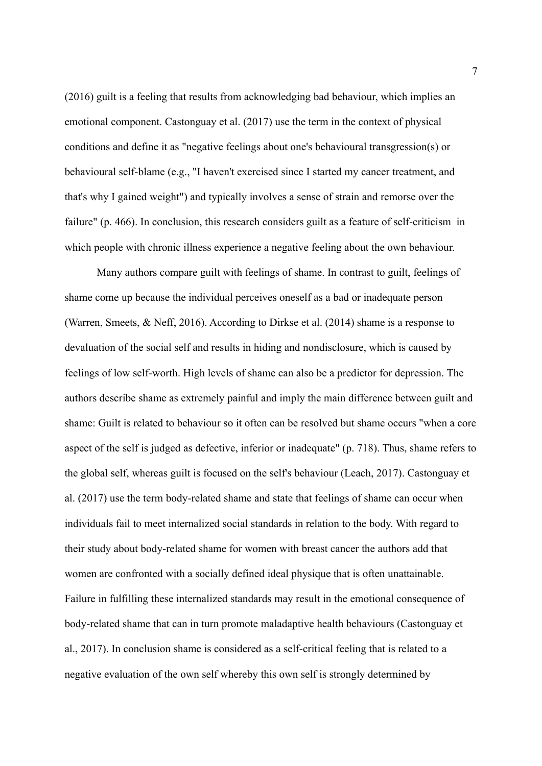(2016) guilt is a feeling that results from acknowledging bad behaviour, which implies an emotional component. Castonguay et al. (2017) use the term in the context of physical conditions and define it as "negative feelings about one's behavioural transgression(s) or behavioural self-blame (e.g., "I haven't exercised since I started my cancer treatment, and that's why I gained weight") and typically involves a sense of strain and remorse over the failure" (p. 466). In conclusion, this research considers guilt as a feature of self-criticism in which people with chronic illness experience a negative feeling about the own behaviour.

Many authors compare guilt with feelings of shame. In contrast to guilt, feelings of shame come up because the individual perceives oneself as a bad or inadequate person (Warren, Smeets, & Neff, 2016). According to Dirkse et al. (2014) shame is a response to devaluation of the social self and results in hiding and nondisclosure, which is caused by feelings of low self-worth. High levels of shame can also be a predictor for depression. The authors describe shame as extremely painful and imply the main difference between guilt and shame: Guilt is related to behaviour so it often can be resolved but shame occurs "when a core aspect of the self is judged as defective, inferior or inadequate" (p. 718). Thus, shame refers to the global self, whereas guilt is focused on the self's behaviour (Leach, 2017). Castonguay et al. (2017) use the term body-related shame and state that feelings of shame can occur when individuals fail to meet internalized social standards in relation to the body. With regard to their study about body-related shame for women with breast cancer the authors add that women are confronted with a socially defined ideal physique that is often unattainable. Failure in fulfilling these internalized standards may result in the emotional consequence of body-related shame that can in turn promote maladaptive health behaviours (Castonguay et al., 2017). In conclusion shame is considered as a self-critical feeling that is related to a negative evaluation of the own self whereby this own self is strongly determined by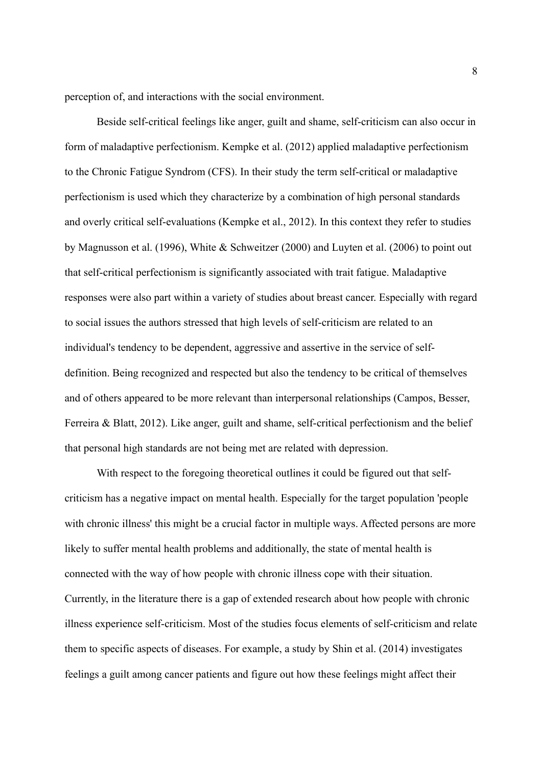perception of, and interactions with the social environment.

Beside self-critical feelings like anger, guilt and shame, self-criticism can also occur in form of maladaptive perfectionism. Kempke et al. (2012) applied maladaptive perfectionism to the Chronic Fatigue Syndrom (CFS). In their study the term self-critical or maladaptive perfectionism is used which they characterize by a combination of high personal standards and overly critical self-evaluations (Kempke et al., 2012). In this context they refer to studies by Magnusson et al. (1996), White & Schweitzer (2000) and Luyten et al. (2006) to point out that self-critical perfectionism is significantly associated with trait fatigue. Maladaptive responses were also part within a variety of studies about breast cancer. Especially with regard to social issues the authors stressed that high levels of self-criticism are related to an individual's tendency to be dependent, aggressive and assertive in the service of selfdefinition. Being recognized and respected but also the tendency to be critical of themselves and of others appeared to be more relevant than interpersonal relationships (Campos, Besser, Ferreira & Blatt, 2012). Like anger, guilt and shame, self-critical perfectionism and the belief that personal high standards are not being met are related with depression.

With respect to the foregoing theoretical outlines it could be figured out that selfcriticism has a negative impact on mental health. Especially for the target population 'people with chronic illness' this might be a crucial factor in multiple ways. Affected persons are more likely to suffer mental health problems and additionally, the state of mental health is connected with the way of how people with chronic illness cope with their situation. Currently, in the literature there is a gap of extended research about how people with chronic illness experience self-criticism. Most of the studies focus elements of self-criticism and relate them to specific aspects of diseases. For example, a study by Shin et al. (2014) investigates feelings a guilt among cancer patients and figure out how these feelings might affect their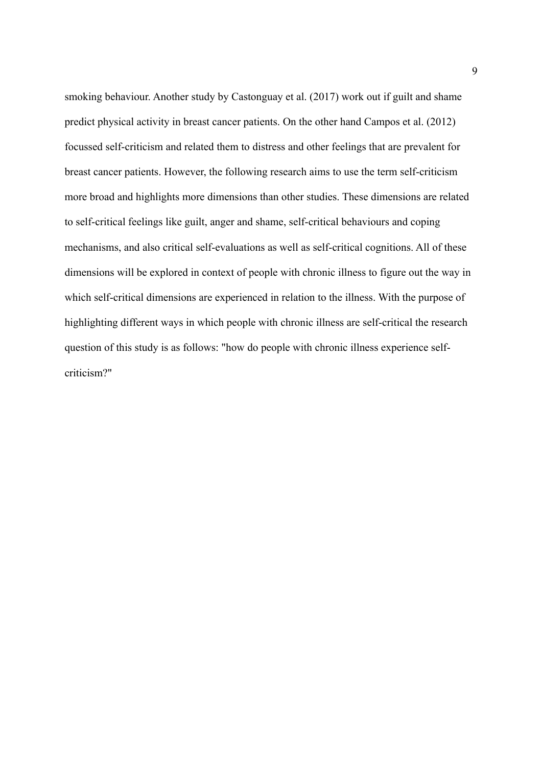smoking behaviour. Another study by Castonguay et al. (2017) work out if guilt and shame predict physical activity in breast cancer patients. On the other hand Campos et al. (2012) focussed self-criticism and related them to distress and other feelings that are prevalent for breast cancer patients. However, the following research aims to use the term self-criticism more broad and highlights more dimensions than other studies. These dimensions are related to self-critical feelings like guilt, anger and shame, self-critical behaviours and coping mechanisms, and also critical self-evaluations as well as self-critical cognitions. All of these dimensions will be explored in context of people with chronic illness to figure out the way in which self-critical dimensions are experienced in relation to the illness. With the purpose of highlighting different ways in which people with chronic illness are self-critical the research question of this study is as follows: "how do people with chronic illness experience selfcriticism?"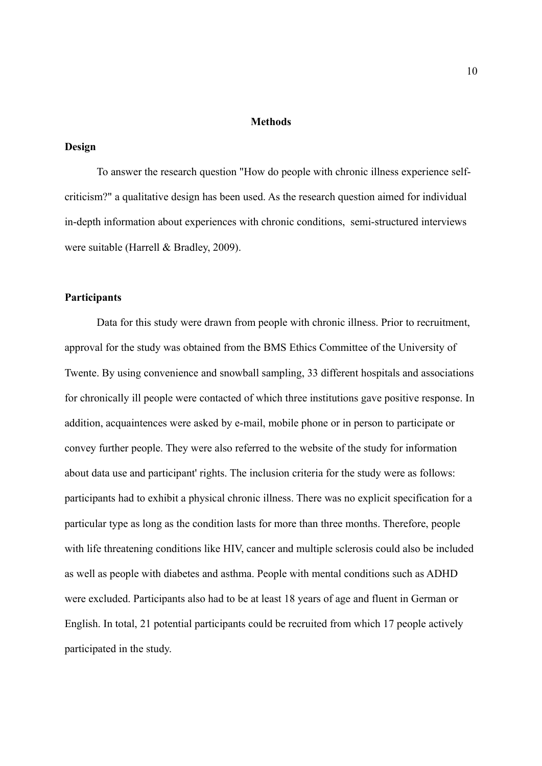#### **Methods**

### **Design**

To answer the research question "How do people with chronic illness experience selfcriticism?" a qualitative design has been used. As the research question aimed for individual in-depth information about experiences with chronic conditions, semi-structured interviews were suitable (Harrell & Bradley, 2009).

### **Participants**

Data for this study were drawn from people with chronic illness. Prior to recruitment, approval for the study was obtained from the BMS Ethics Committee of the University of Twente. By using convenience and snowball sampling, 33 different hospitals and associations for chronically ill people were contacted of which three institutions gave positive response. In addition, acquaintences were asked by e-mail, mobile phone or in person to participate or convey further people. They were also referred to the website of the study for information about data use and participant' rights. The inclusion criteria for the study were as follows: participants had to exhibit a physical chronic illness. There was no explicit specification for a particular type as long as the condition lasts for more than three months. Therefore, people with life threatening conditions like HIV, cancer and multiple sclerosis could also be included as well as people with diabetes and asthma. People with mental conditions such as ADHD were excluded. Participants also had to be at least 18 years of age and fluent in German or English. In total, 21 potential participants could be recruited from which 17 people actively participated in the study.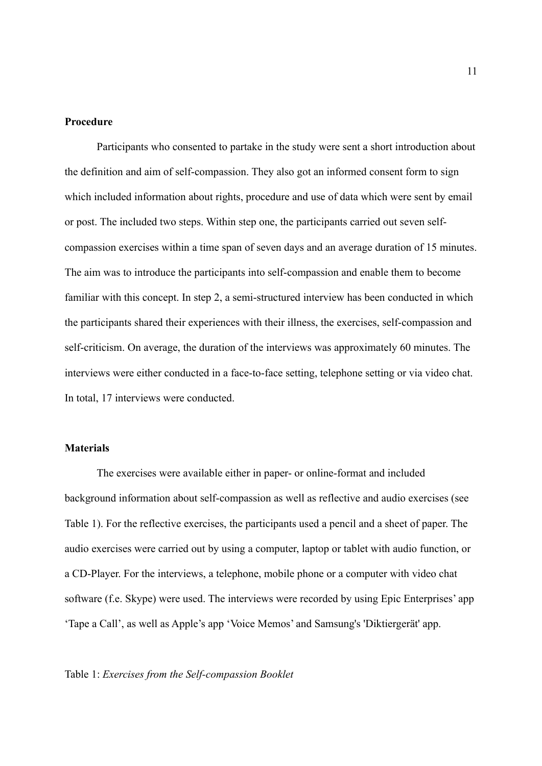#### **Procedure**

Participants who consented to partake in the study were sent a short introduction about the definition and aim of self-compassion. They also got an informed consent form to sign which included information about rights, procedure and use of data which were sent by email or post. The included two steps. Within step one, the participants carried out seven selfcompassion exercises within a time span of seven days and an average duration of 15 minutes. The aim was to introduce the participants into self-compassion and enable them to become familiar with this concept. In step 2, a semi-structured interview has been conducted in which the participants shared their experiences with their illness, the exercises, self-compassion and self-criticism. On average, the duration of the interviews was approximately 60 minutes. The interviews were either conducted in a face-to-face setting, telephone setting or via video chat. In total, 17 interviews were conducted.

## **Materials**

The exercises were available either in paper- or online-format and included background information about self-compassion as well as reflective and audio exercises (see Table 1). For the reflective exercises, the participants used a pencil and a sheet of paper. The audio exercises were carried out by using a computer, laptop or tablet with audio function, or a CD-Player. For the interviews, a telephone, mobile phone or a computer with video chat software (f.e. Skype) were used. The interviews were recorded by using Epic Enterprises' app 'Tape a Call', as well as Apple's app 'Voice Memos' and Samsung's 'Diktiergerät' app.

#### Table 1: *Exercises from the Self-compassion Booklet*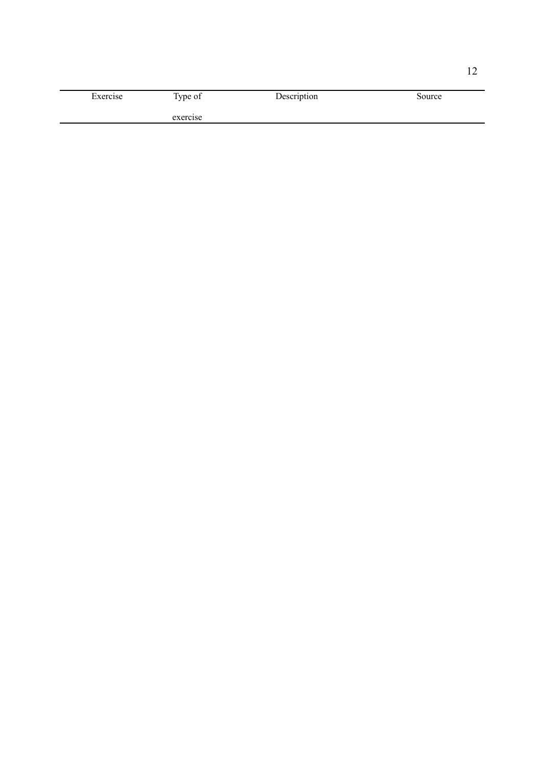| Exercise | Type of  | Description | Source |
|----------|----------|-------------|--------|
|          | exercise |             |        |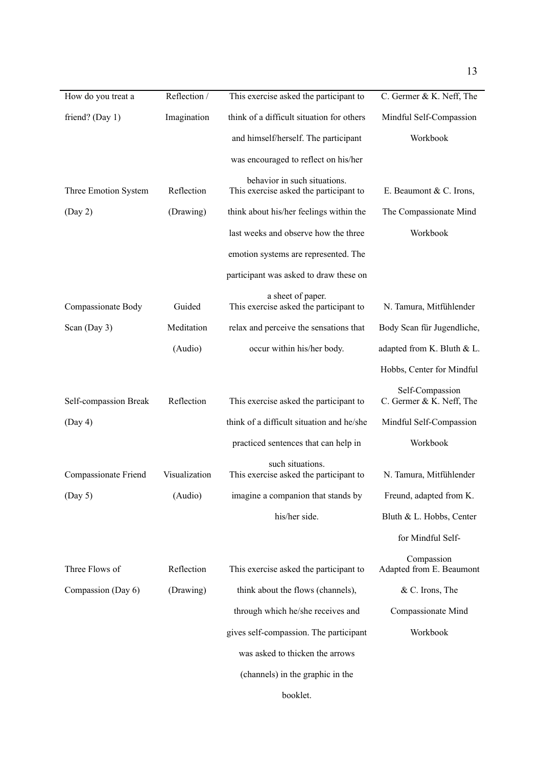| How do you treat a    | Reflection /  | This exercise asked the participant to                                 | C. Germer & K. Neff, The                    |
|-----------------------|---------------|------------------------------------------------------------------------|---------------------------------------------|
| friend? (Day 1)       | Imagination   | think of a difficult situation for others                              | Mindful Self-Compassion                     |
|                       |               | and himself/herself. The participant                                   | Workbook                                    |
|                       |               | was encouraged to reflect on his/her                                   |                                             |
| Three Emotion System  | Reflection    | behavior in such situations.<br>This exercise asked the participant to | E. Beaumont & C. Irons,                     |
| (Day 2)               | (Drawing)     | think about his/her feelings within the                                | The Compassionate Mind                      |
|                       |               | last weeks and observe how the three                                   | Workbook                                    |
|                       |               | emotion systems are represented. The                                   |                                             |
|                       |               | participant was asked to draw these on                                 |                                             |
|                       |               |                                                                        |                                             |
| Compassionate Body    | Guided        | a sheet of paper.<br>This exercise asked the participant to            | N. Tamura, Mitfühlender                     |
| Scan (Day 3)          | Meditation    | relax and perceive the sensations that                                 | Body Scan für Jugendliche,                  |
|                       | (Audio)       | occur within his/her body.                                             | adapted from K. Bluth & L.                  |
|                       |               |                                                                        | Hobbs, Center for Mindful                   |
| Self-compassion Break | Reflection    | This exercise asked the participant to                                 | Self-Compassion<br>C. Germer & K. Neff, The |
| (Day 4)               |               | think of a difficult situation and he/she                              | Mindful Self-Compassion                     |
|                       |               | practiced sentences that can help in                                   | Workbook                                    |
| Compassionate Friend  | Visualization | such situations.<br>This exercise asked the participant to             | N. Tamura, Mitfühlender                     |
| (Day 5)               | (Audio)       | imagine a companion that stands by                                     | Freund, adapted from K.                     |
|                       |               | his/her side.                                                          | Bluth & L. Hobbs, Center                    |
|                       |               |                                                                        | for Mindful Self-                           |
| Three Flows of        | Reflection    | This exercise asked the participant to                                 | Compassion<br>Adapted from E. Beaumont      |
| Compassion (Day 6)    | (Drawing)     | think about the flows (channels),                                      | & C. Irons, The                             |
|                       |               | through which he/she receives and                                      | Compassionate Mind                          |
|                       |               | gives self-compassion. The participant                                 | Workbook                                    |
|                       |               | was asked to thicken the arrows                                        |                                             |
|                       |               | (channels) in the graphic in the                                       |                                             |
|                       |               | booklet.                                                               |                                             |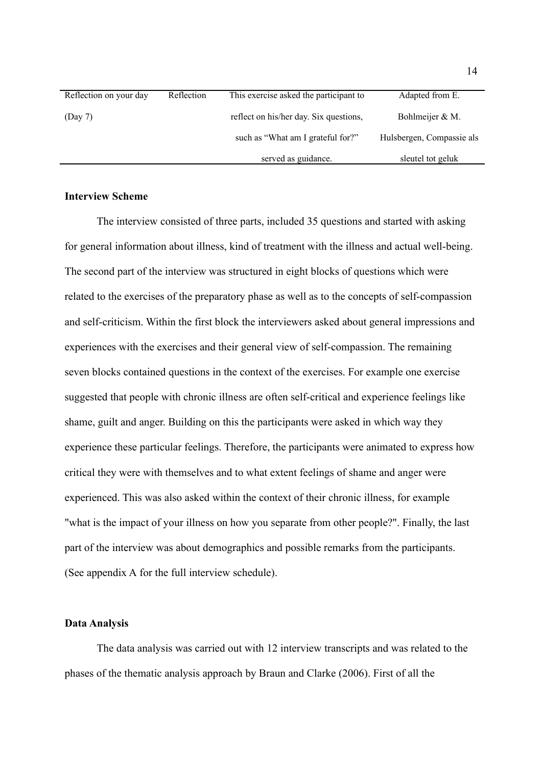| Reflection on your day | Reflection | This exercise asked the participant to | Adapted from E.           |
|------------------------|------------|----------------------------------------|---------------------------|
| (Day 7)                |            | reflect on his/her day. Six questions, | Bohlmeijer & M.           |
|                        |            | such as "What am I grateful for?"      | Hulsbergen, Compassie als |
|                        |            | served as guidance.                    | sleutel tot geluk         |

### **Interview Scheme**

The interview consisted of three parts, included 35 questions and started with asking for general information about illness, kind of treatment with the illness and actual well-being. The second part of the interview was structured in eight blocks of questions which were related to the exercises of the preparatory phase as well as to the concepts of self-compassion and self-criticism. Within the first block the interviewers asked about general impressions and experiences with the exercises and their general view of self-compassion. The remaining seven blocks contained questions in the context of the exercises. For example one exercise suggested that people with chronic illness are often self-critical and experience feelings like shame, guilt and anger. Building on this the participants were asked in which way they experience these particular feelings. Therefore, the participants were animated to express how critical they were with themselves and to what extent feelings of shame and anger were experienced. This was also asked within the context of their chronic illness, for example "what is the impact of your illness on how you separate from other people?". Finally, the last part of the interview was about demographics and possible remarks from the participants. (See appendix A for the full interview schedule).

#### **Data Analysis**

The data analysis was carried out with 12 interview transcripts and was related to the phases of the thematic analysis approach by Braun and Clarke (2006). First of all the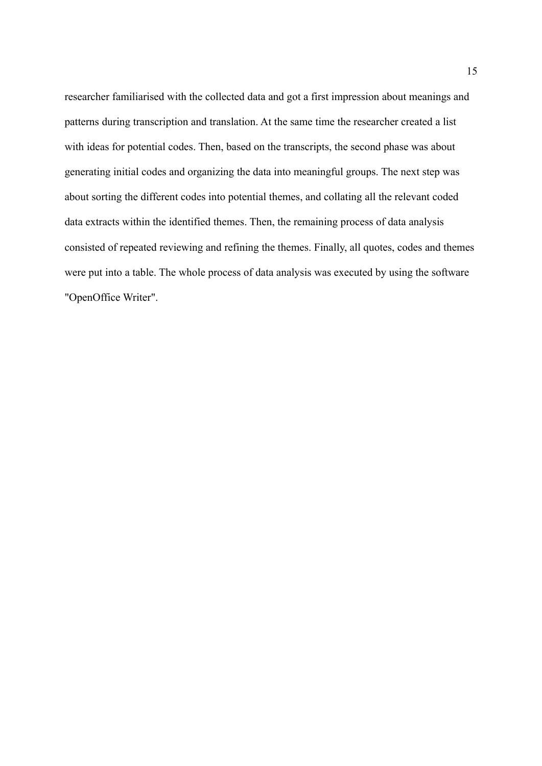researcher familiarised with the collected data and got a first impression about meanings and patterns during transcription and translation. At the same time the researcher created a list with ideas for potential codes. Then, based on the transcripts, the second phase was about generating initial codes and organizing the data into meaningful groups. The next step was about sorting the different codes into potential themes, and collating all the relevant coded data extracts within the identified themes. Then, the remaining process of data analysis consisted of repeated reviewing and refining the themes. Finally, all quotes, codes and themes were put into a table. The whole process of data analysis was executed by using the software "OpenOffice Writer".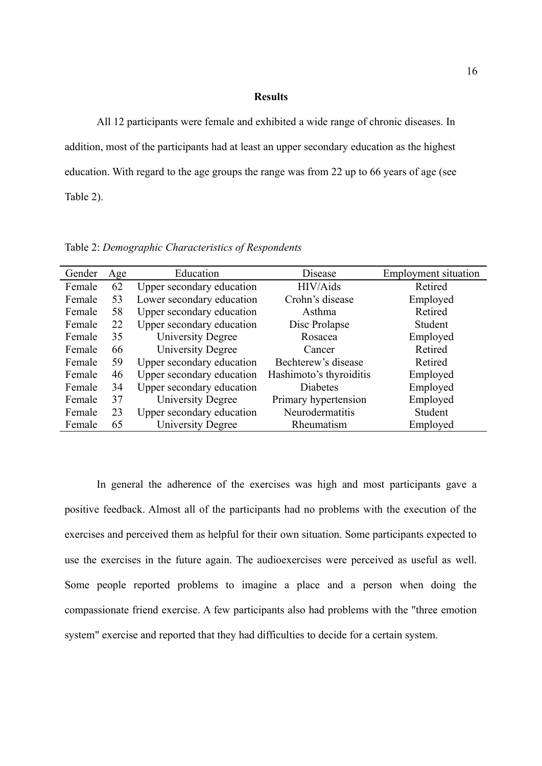#### **Results**

All 12 participants were female and exhibited a wide range of chronic diseases. In addition, most of the participants had at least an upper secondary education as the highest education. With regard to the age groups the range was from 22 up to 66 years of age (see Table 2).

| Gender | Age | Education                 | Disease                 | <b>Employment situation</b> |
|--------|-----|---------------------------|-------------------------|-----------------------------|
| Female | 62  | Upper secondary education | HIV/Aids                | Retired                     |
| Female | 53  | Lower secondary education | Crohn's disease         | Employed                    |
| Female | 58  | Upper secondary education | Asthma                  | Retired                     |
| Female | 22  | Upper secondary education | Disc Prolapse           | Student                     |
| Female | 35  | <b>University Degree</b>  | Rosacea                 | Employed                    |
| Female | 66  | <b>University Degree</b>  | Cancer                  | Retired                     |
| Female | 59  | Upper secondary education | Bechterew's disease     | Retired                     |
| Female | 46  | Upper secondary education | Hashimoto's thyroiditis | Employed                    |
| Female | 34  | Upper secondary education | <b>Diabetes</b>         | Employed                    |
| Female | 37  | <b>University Degree</b>  | Primary hypertension    | Employed                    |
| Female | 23  | Upper secondary education | Neurodermatitis         | Student                     |
| Female | 65  | University Degree         | Rheumatism              | Employed                    |

Table 2: *Demographic Characteristics of Respondents*

In general the adherence of the exercises was high and most participants gave a positive feedback. Almost all of the participants had no problems with the execution of the exercises and perceived them as helpful for their own situation. Some participants expected to use the exercises in the future again. The audioexercises were perceived as useful as well. Some people reported problems to imagine a place and a person when doing the compassionate friend exercise. A few participants also had problems with the "three emotion system" exercise and reported that they had difficulties to decide for a certain system.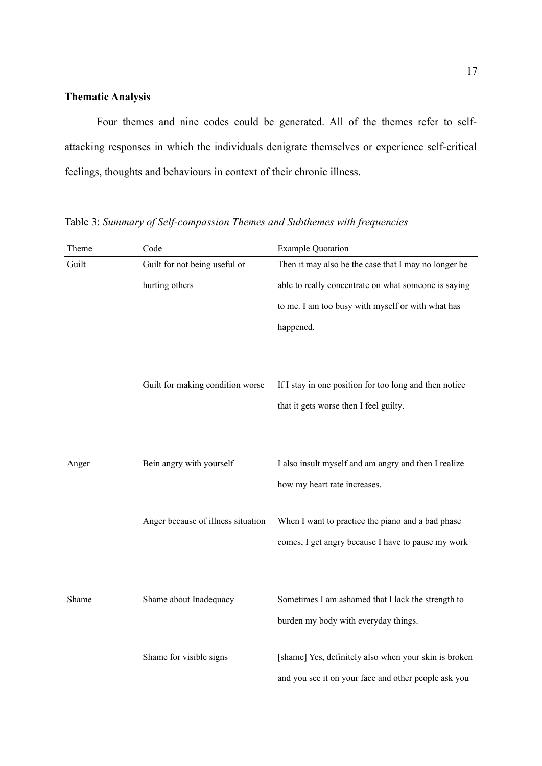#### **Thematic Analysis**

Four themes and nine codes could be generated. All of the themes refer to selfattacking responses in which the individuals denigrate themselves or experience self-critical feelings, thoughts and behaviours in context of their chronic illness.

Theme Code Code Example Quotation Guilt Guilt for not being useful or hurting others Then it may also be the case that I may no longer be able to really concentrate on what someone is saying to me. I am too busy with myself or with what has happened. Guilt for making condition worse If I stay in one position for too long and then notice that it gets worse then I feel guilty. Anger Bein angry with yourself I also insult myself and am angry and then I realize how my heart rate increases. Anger because of illness situation When I want to practice the piano and a bad phase comes, I get angry because I have to pause my work Shame Shame about Inadequacy Sometimes I am ashamed that I lack the strength to burden my body with everyday things. Shame for visible signs [shame] Yes, definitely also when your skin is broken and you see it on your face and other people ask you

Table 3: *Summary of Self-compassion Themes and Subthemes with frequencies*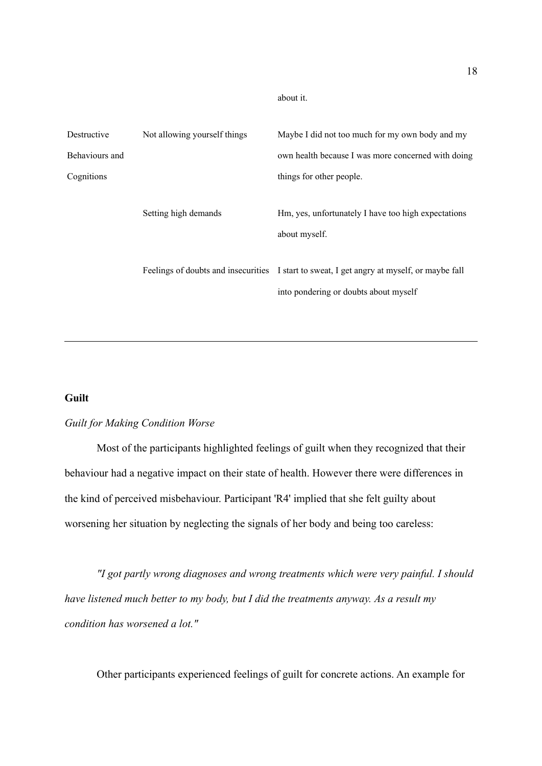about it.

| Destructive    | Not allowing yourself things | Maybe I did not too much for my own body and my                                                                                     |
|----------------|------------------------------|-------------------------------------------------------------------------------------------------------------------------------------|
| Behaviours and |                              | own health because I was more concerned with doing                                                                                  |
| Cognitions     |                              | things for other people.                                                                                                            |
|                | Setting high demands         | Hm, yes, unfortunately I have too high expectations<br>about myself.                                                                |
|                |                              | Feelings of doubts and insecurities I start to sweat, I get angry at myself, or maybe fall<br>into pondering or doubts about myself |

## **Guilt**

#### *Guilt for Making Condition Worse*

Most of the participants highlighted feelings of guilt when they recognized that their behaviour had a negative impact on their state of health. However there were differences in the kind of perceived misbehaviour. Participant 'R4' implied that she felt guilty about worsening her situation by neglecting the signals of her body and being too careless:

*"I got partly wrong diagnoses and wrong treatments which were very painful. I should have listened much better to my body, but I did the treatments anyway. As a result my condition has worsened a lot."*

Other participants experienced feelings of guilt for concrete actions. An example for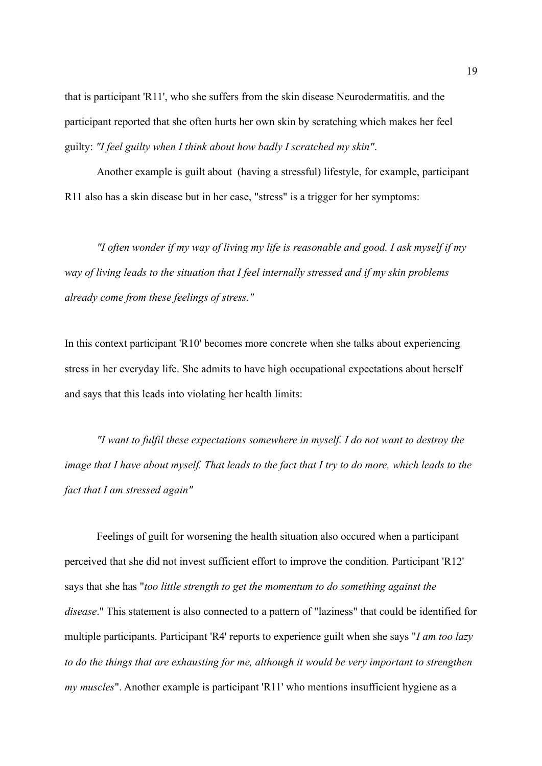that is participant 'R11', who she suffers from the skin disease Neurodermatitis. and the participant reported that she often hurts her own skin by scratching which makes her feel guilty: *"I feel guilty when I think about how badly I scratched my skin"*.

Another example is guilt about (having a stressful) lifestyle, for example, participant R11 also has a skin disease but in her case, "stress" is a trigger for her symptoms:

*"I often wonder if my way of living my life is reasonable and good. I ask myself if my way of living leads to the situation that I feel internally stressed and if my skin problems already come from these feelings of stress."*

In this context participant 'R10' becomes more concrete when she talks about experiencing stress in her everyday life. She admits to have high occupational expectations about herself and says that this leads into violating her health limits:

*"I want to fulfil these expectations somewhere in myself. I do not want to destroy the image that I have about myself. That leads to the fact that I try to do more, which leads to the fact that I am stressed again"*

Feelings of guilt for worsening the health situation also occured when a participant perceived that she did not invest sufficient effort to improve the condition. Participant 'R12' says that she has "*too little strength to get the momentum to do something against the disease*." This statement is also connected to a pattern of "laziness" that could be identified for multiple participants. Participant 'R4' reports to experience guilt when she says "*I am too lazy to do the things that are exhausting for me, although it would be very important to strengthen my muscles*". Another example is participant 'R11' who mentions insufficient hygiene as a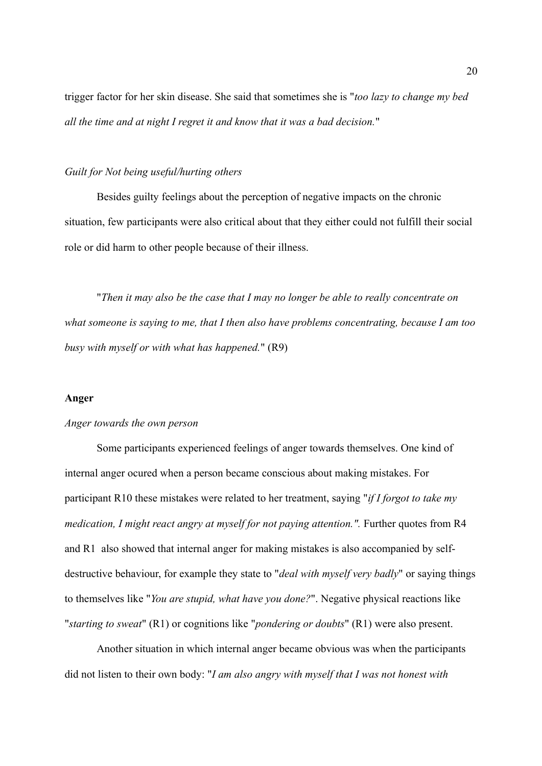trigger factor for her skin disease. She said that sometimes she is "*too lazy to change my bed all the time and at night I regret it and know that it was a bad decision.*"

#### *Guilt for Not being useful/hurting others*

Besides guilty feelings about the perception of negative impacts on the chronic situation, few participants were also critical about that they either could not fulfill their social role or did harm to other people because of their illness.

"*Then it may also be the case that I may no longer be able to really concentrate on what someone is saying to me, that I then also have problems concentrating, because I am too busy with myself or with what has happened.*" (R9)

#### **Anger**

### *Anger towards the own person*

Some participants experienced feelings of anger towards themselves. One kind of internal anger ocured when a person became conscious about making mistakes. For participant R10 these mistakes were related to her treatment, saying "*if I forgot to take my medication, I might react angry at myself for not paying attention.".* Further quotes from R4 and R1 also showed that internal anger for making mistakes is also accompanied by selfdestructive behaviour, for example they state to "*deal with myself very badly*" or saying things to themselves like "*You are stupid, what have you done?*". Negative physical reactions like "*starting to sweat*" (R1) or cognitions like "*pondering or doubts*" (R1) were also present.

Another situation in which internal anger became obvious was when the participants did not listen to their own body: "*I am also angry with myself that I was not honest with*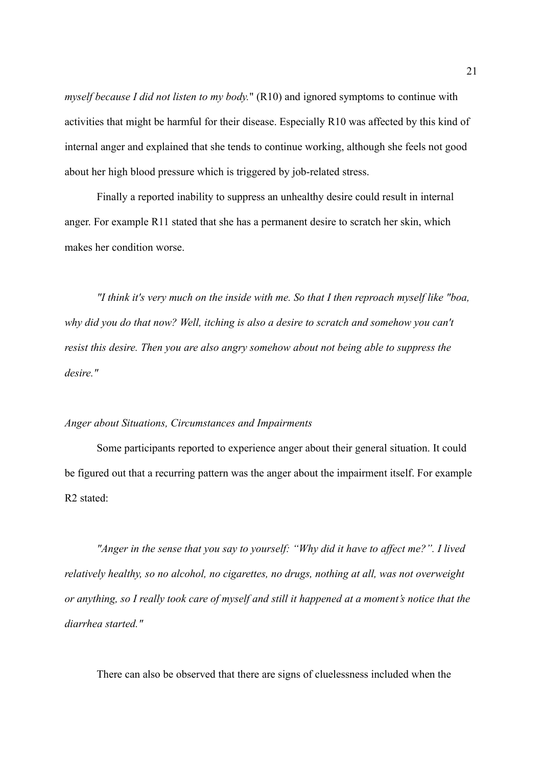*myself because I did not listen to my body.*" (R10) and ignored symptoms to continue with activities that might be harmful for their disease. Especially R10 was affected by this kind of internal anger and explained that she tends to continue working, although she feels not good about her high blood pressure which is triggered by job-related stress.

Finally a reported inability to suppress an unhealthy desire could result in internal anger. For example R11 stated that she has a permanent desire to scratch her skin, which makes her condition worse.

*"I think it's very much on the inside with me. So that I then reproach myself like "boa, why did you do that now? Well, itching is also a desire to scratch and somehow you can't resist this desire. Then you are also angry somehow about not being able to suppress the desire."*

#### *Anger about Situations, Circumstances and Impairments*

Some participants reported to experience anger about their general situation. It could be figured out that a recurring pattern was the anger about the impairment itself. For example R2 stated:

*"Anger in the sense that you say to yourself: "Why did it have to affect me?". I lived relatively healthy, so no alcohol, no cigarettes, no drugs, nothing at all, was not overweight or anything, so I really took care of myself and still it happened at a moment's notice that the diarrhea started."*

There can also be observed that there are signs of cluelessness included when the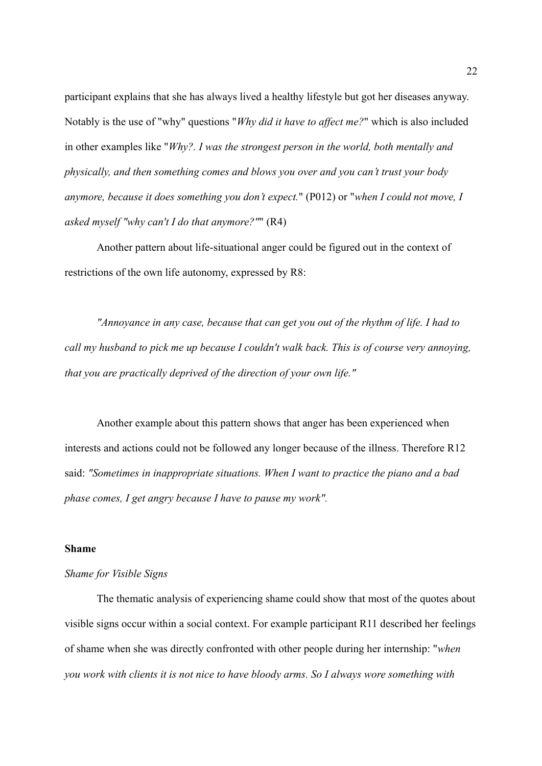participant explains that she has always lived a healthy lifestyle but got her diseases anyway. Notably is the use of "why" questions "*Why did it have to affect me?*" which is also included in other examples like "*Why?. I was the strongest person in the world, both mentally and physically, and then something comes and blows you over and you can't trust your body anymore, because it does something you don't expect.*" (P012) or "*when I could not move, I asked myself "why can't I do that anymore?"*" (R4)

Another pattern about life-situational anger could be figured out in the context of restrictions of the own life autonomy, expressed by R8:

*"Annoyance in any case, because that can get you out of the rhythm of life. I had to call my husband to pick me up because I couldn't walk back. This is of course very annoying, that you are practically deprived of the direction of your own life."*

Another example about this pattern shows that anger has been experienced when interests and actions could not be followed any longer because of the illness. Therefore R12 said: *"Sometimes in inappropriate situations. When I want to practice the piano and a bad phase comes, I get angry because I have to pause my work".*

#### **Shame**

### *Shame for Visible Signs*

The thematic analysis of experiencing shame could show that most of the quotes about visible signs occur within a social context. For example participant R11 described her feelings of shame when she was directly confronted with other people during her internship: "*when you work with clients it is not nice to have bloody arms. So I always wore something with*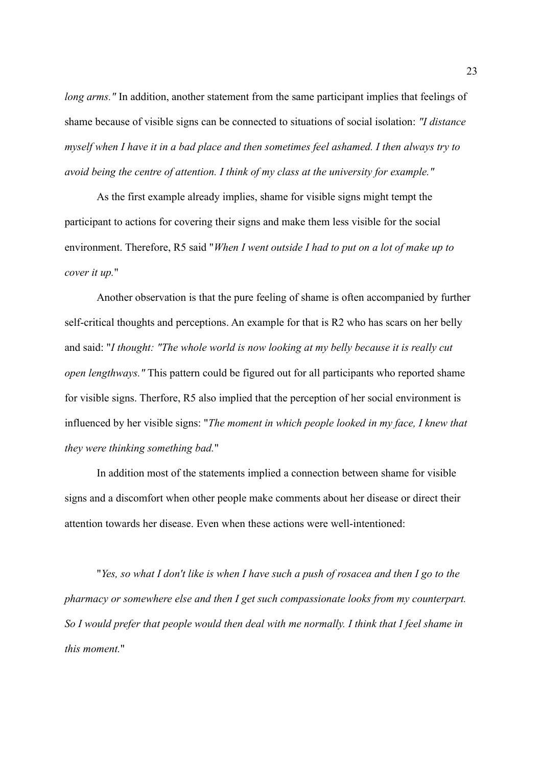*long arms.*" In addition, another statement from the same participant implies that feelings of shame because of visible signs can be connected to situations of social isolation: *"I distance myself when I have it in a bad place and then sometimes feel ashamed. I then always try to avoid being the centre of attention. I think of my class at the university for example."*

As the first example already implies, shame for visible signs might tempt the participant to actions for covering their signs and make them less visible for the social environment. Therefore, R5 said "*When I went outside I had to put on a lot of make up to cover it up.*"

Another observation is that the pure feeling of shame is often accompanied by further self-critical thoughts and perceptions. An example for that is R2 who has scars on her belly and said: "*I thought: "The whole world is now looking at my belly because it is really cut open lengthways."* This pattern could be figured out for all participants who reported shame for visible signs. Therfore, R5 also implied that the perception of her social environment is influenced by her visible signs: "*The moment in which people looked in my face, I knew that they were thinking something bad.*"

In addition most of the statements implied a connection between shame for visible signs and a discomfort when other people make comments about her disease or direct their attention towards her disease. Even when these actions were well-intentioned:

"*Yes, so what I don't like is when I have such a push of rosacea and then I go to the pharmacy or somewhere else and then I get such compassionate looks from my counterpart. So I would prefer that people would then deal with me normally. I think that I feel shame in this moment.*"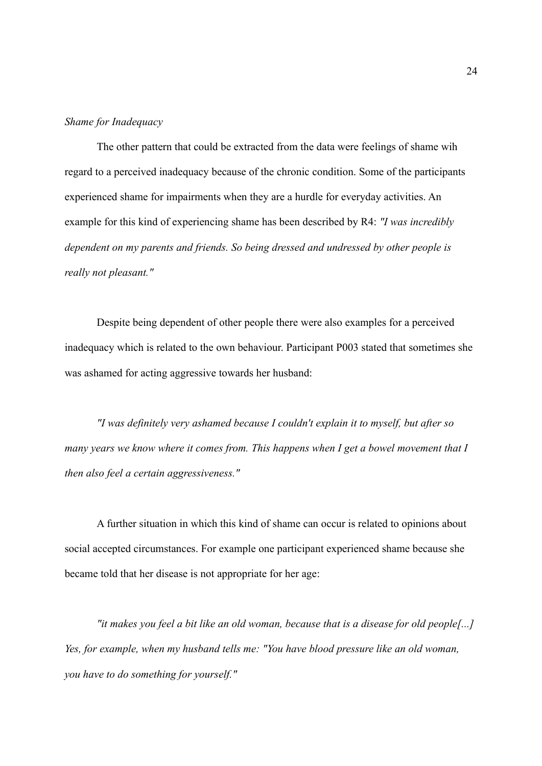#### *Shame for Inadequacy*

The other pattern that could be extracted from the data were feelings of shame wih regard to a perceived inadequacy because of the chronic condition. Some of the participants experienced shame for impairments when they are a hurdle for everyday activities. An example for this kind of experiencing shame has been described by R4: *"I was incredibly dependent on my parents and friends. So being dressed and undressed by other people is really not pleasant."*

Despite being dependent of other people there were also examples for a perceived inadequacy which is related to the own behaviour. Participant P003 stated that sometimes she was ashamed for acting aggressive towards her husband:

*"I was definitely very ashamed because I couldn't explain it to myself, but after so many years we know where it comes from. This happens when I get a bowel movement that I then also feel a certain aggressiveness."*

A further situation in which this kind of shame can occur is related to opinions about social accepted circumstances. For example one participant experienced shame because she became told that her disease is not appropriate for her age:

*"it makes you feel a bit like an old woman, because that is a disease for old people[...] Yes, for example, when my husband tells me: "You have blood pressure like an old woman, you have to do something for yourself."*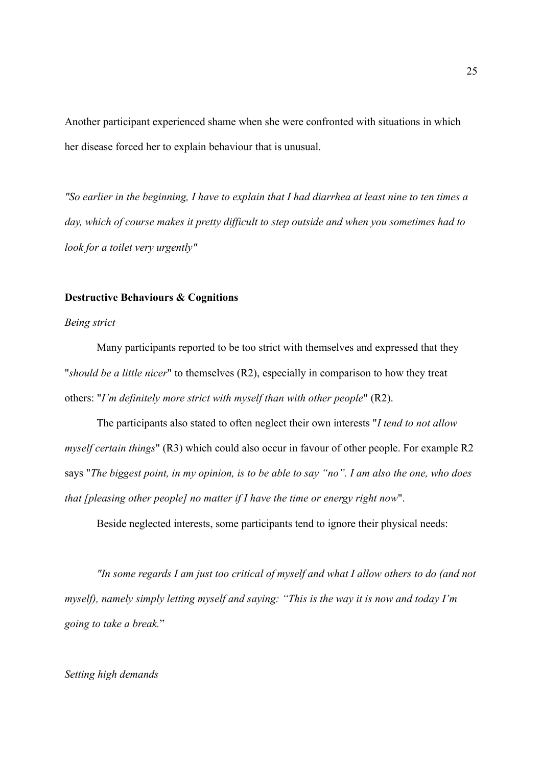Another participant experienced shame when she were confronted with situations in which her disease forced her to explain behaviour that is unusual.

*"So earlier in the beginning, I have to explain that I had diarrhea at least nine to ten times a day, which of course makes it pretty difficult to step outside and when you sometimes had to look for a toilet very urgently"*

### **Destructive Behaviours & Cognitions**

#### *Being strict*

Many participants reported to be too strict with themselves and expressed that they "*should be a little nicer*" to themselves (R2), especially in comparison to how they treat others: "*I'm definitely more strict with myself than with other people*" (R2).

The participants also stated to often neglect their own interests "*I tend to not allow myself certain things*" (R3) which could also occur in favour of other people. For example R2 says "*The biggest point, in my opinion, is to be able to say "no". I am also the one, who does that [pleasing other people] no matter if I have the time or energy right now*".

Beside neglected interests, some participants tend to ignore their physical needs:

*"In some regards I am just too critical of myself and what I allow others to do (and not myself), namely simply letting myself and saying: "This is the way it is now and today I'm going to take a break.*"

### *Setting high demands*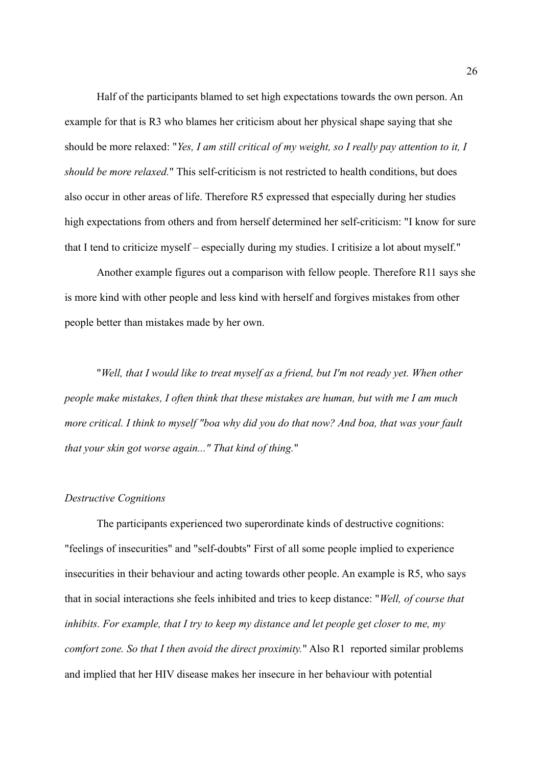Half of the participants blamed to set high expectations towards the own person. An example for that is R3 who blames her criticism about her physical shape saying that she should be more relaxed: "*Yes, I am still critical of my weight, so I really pay attention to it, I should be more relaxed.*" This self-criticism is not restricted to health conditions, but does also occur in other areas of life. Therefore R5 expressed that especially during her studies high expectations from others and from herself determined her self-criticism: "I know for sure that I tend to criticize myself – especially during my studies. I critisize a lot about myself."

Another example figures out a comparison with fellow people. Therefore R11 says she is more kind with other people and less kind with herself and forgives mistakes from other people better than mistakes made by her own.

"*Well, that I would like to treat myself as a friend, but I'm not ready yet. When other people make mistakes, I often think that these mistakes are human, but with me I am much more critical. I think to myself "boa why did you do that now? And boa, that was your fault that your skin got worse again..." That kind of thing.*"

#### *Destructive Cognitions*

The participants experienced two superordinate kinds of destructive cognitions: "feelings of insecurities" and "self-doubts" First of all some people implied to experience insecurities in their behaviour and acting towards other people. An example is R5, who says that in social interactions she feels inhibited and tries to keep distance: "*Well, of course that inhibits. For example, that I try to keep my distance and let people get closer to me, my comfort zone. So that I then avoid the direct proximity.*" Also R1 reported similar problems and implied that her HIV disease makes her insecure in her behaviour with potential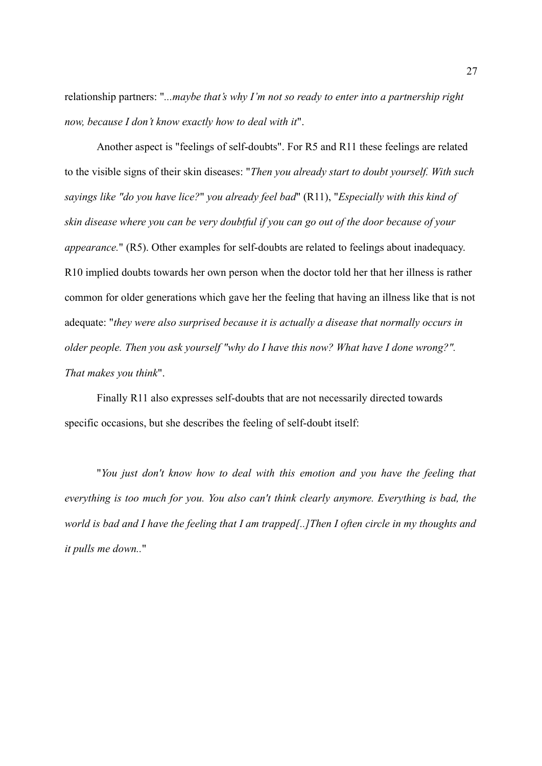relationship partners: "*...maybe that's why I'm not so ready to enter into a partnership right now, because I don't know exactly how to deal with it*".

Another aspect is "feelings of self-doubts". For R5 and R11 these feelings are related to the visible signs of their skin diseases: "*Then you already start to doubt yourself. With such sayings like "do you have lice?*" *you already feel bad*" (R11), "*Especially with this kind of skin disease where you can be very doubtful if you can go out of the door because of your appearance.*" (R5). Other examples for self-doubts are related to feelings about inadequacy. R10 implied doubts towards her own person when the doctor told her that her illness is rather common for older generations which gave her the feeling that having an illness like that is not adequate: "*they were also surprised because it is actually a disease that normally occurs in older people. Then you ask yourself "why do I have this now? What have I done wrong?". That makes you think*".

Finally R11 also expresses self-doubts that are not necessarily directed towards specific occasions, but she describes the feeling of self-doubt itself:

"*You just don't know how to deal with this emotion and you have the feeling that everything is too much for you. You also can't think clearly anymore. Everything is bad, the world is bad and I have the feeling that I am trapped[..]Then I often circle in my thoughts and it pulls me down..*"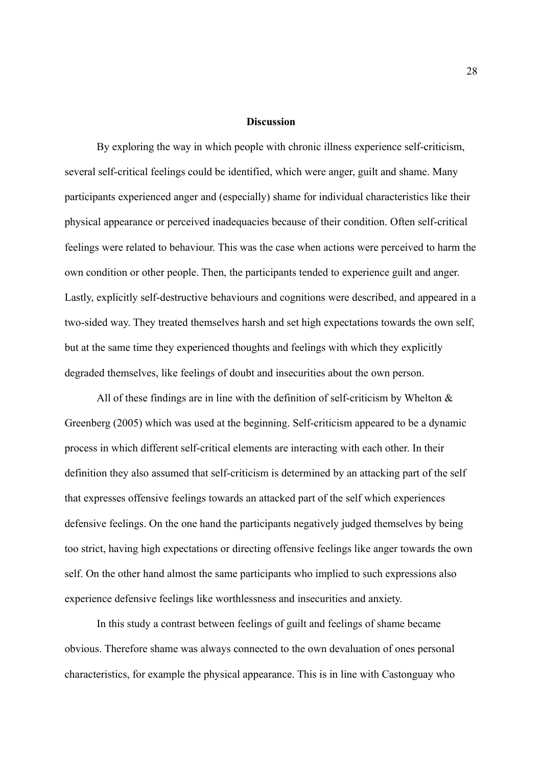#### **Discussion**

By exploring the way in which people with chronic illness experience self-criticism, several self-critical feelings could be identified, which were anger, guilt and shame. Many participants experienced anger and (especially) shame for individual characteristics like their physical appearance or perceived inadequacies because of their condition. Often self-critical feelings were related to behaviour. This was the case when actions were perceived to harm the own condition or other people. Then, the participants tended to experience guilt and anger. Lastly, explicitly self-destructive behaviours and cognitions were described, and appeared in a two-sided way. They treated themselves harsh and set high expectations towards the own self, but at the same time they experienced thoughts and feelings with which they explicitly degraded themselves, like feelings of doubt and insecurities about the own person.

All of these findings are in line with the definition of self-criticism by Whelton  $\&$ Greenberg (2005) which was used at the beginning. Self-criticism appeared to be a dynamic process in which different self-critical elements are interacting with each other. In their definition they also assumed that self-criticism is determined by an attacking part of the self that expresses offensive feelings towards an attacked part of the self which experiences defensive feelings. On the one hand the participants negatively judged themselves by being too strict, having high expectations or directing offensive feelings like anger towards the own self. On the other hand almost the same participants who implied to such expressions also experience defensive feelings like worthlessness and insecurities and anxiety.

In this study a contrast between feelings of guilt and feelings of shame became obvious. Therefore shame was always connected to the own devaluation of ones personal characteristics, for example the physical appearance. This is in line with Castonguay who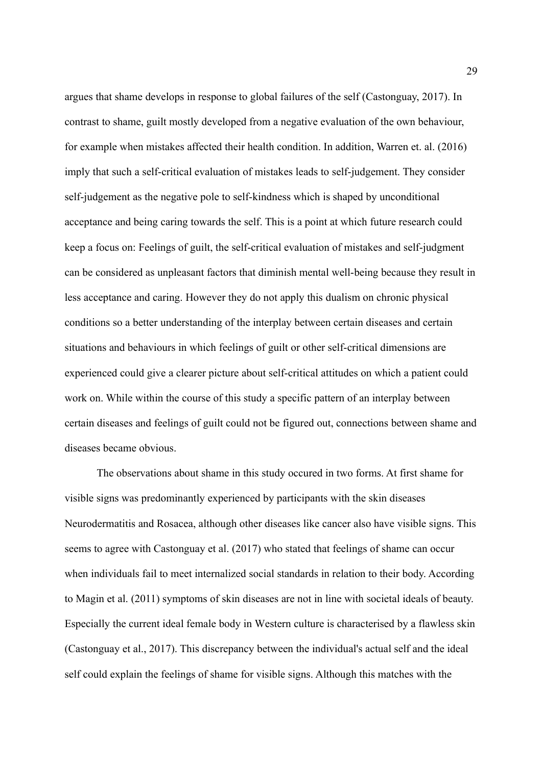argues that shame develops in response to global failures of the self (Castonguay, 2017). In contrast to shame, guilt mostly developed from a negative evaluation of the own behaviour, for example when mistakes affected their health condition. In addition, Warren et. al. (2016) imply that such a self-critical evaluation of mistakes leads to self-judgement. They consider self-judgement as the negative pole to self-kindness which is shaped by unconditional acceptance and being caring towards the self. This is a point at which future research could keep a focus on: Feelings of guilt, the self-critical evaluation of mistakes and self-judgment can be considered as unpleasant factors that diminish mental well-being because they result in less acceptance and caring. However they do not apply this dualism on chronic physical conditions so a better understanding of the interplay between certain diseases and certain situations and behaviours in which feelings of guilt or other self-critical dimensions are experienced could give a clearer picture about self-critical attitudes on which a patient could work on. While within the course of this study a specific pattern of an interplay between certain diseases and feelings of guilt could not be figured out, connections between shame and diseases became obvious.

The observations about shame in this study occured in two forms. At first shame for visible signs was predominantly experienced by participants with the skin diseases Neurodermatitis and Rosacea, although other diseases like cancer also have visible signs. This seems to agree with Castonguay et al. (2017) who stated that feelings of shame can occur when individuals fail to meet internalized social standards in relation to their body. According to Magin et al. (2011) symptoms of skin diseases are not in line with societal ideals of beauty. Especially the current ideal female body in Western culture is characterised by a flawless skin (Castonguay et al., 2017). This discrepancy between the individual's actual self and the ideal self could explain the feelings of shame for visible signs. Although this matches with the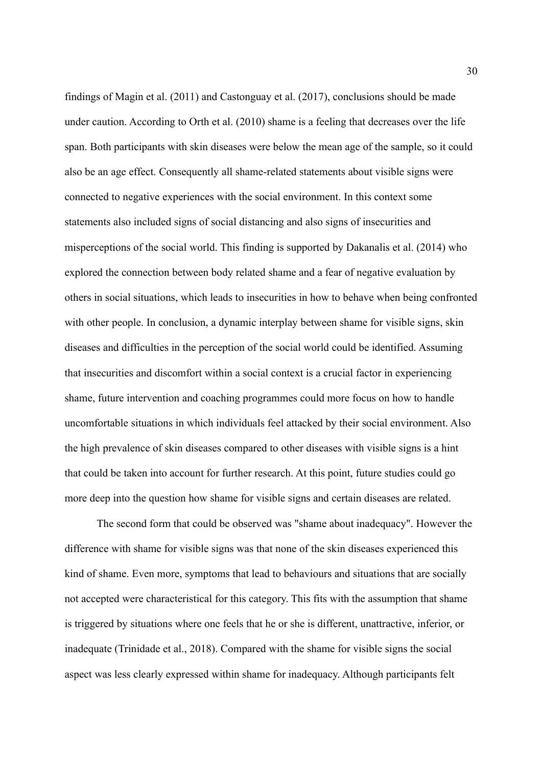findings of Magin et al. (2011) and Castonguay et al. (2017), conclusions should be made under caution. According to Orth et al. (2010) shame is a feeling that decreases over the life span. Both participants with skin diseases were below the mean age of the sample, so it could also be an age effect. Consequently all shame-related statements about visible signs were connected to negative experiences with the social environment. In this context some statements also included signs of social distancing and also signs of insecurities and misperceptions of the social world. This finding is supported by Dakanalis et al. (2014) who explored the connection between body related shame and a fear of negative evaluation by others in social situations, which leads to insecurities in how to behave when being confronted with other people. In conclusion, a dynamic interplay between shame for visible signs, skin diseases and difficulties in the perception of the social world could be identified. Assuming that insecurities and discomfort within a social context is a crucial factor in experiencing shame, future intervention and coaching programmes could more focus on how to handle uncomfortable situations in which individuals feel attacked by their social environment. Also the high prevalence of skin diseases compared to other diseases with visible signs is a hint that could be taken into account for further research. At this point, future studies could go more deep into the question how shame for visible signs and certain diseases are related.

The second form that could be observed was "shame about inadequacy". However the difference with shame for visible signs was that none of the skin diseases experienced this kind of shame. Even more, symptoms that lead to behaviours and situations that are socially not accepted were characteristical for this category. This fits with the assumption that shame is triggered by situations where one feels that he or she is different, unattractive, inferior, or inadequate (Trinidade et al., 2018). Compared with the shame for visible signs the social aspect was less clearly expressed within shame for inadequacy. Although participants felt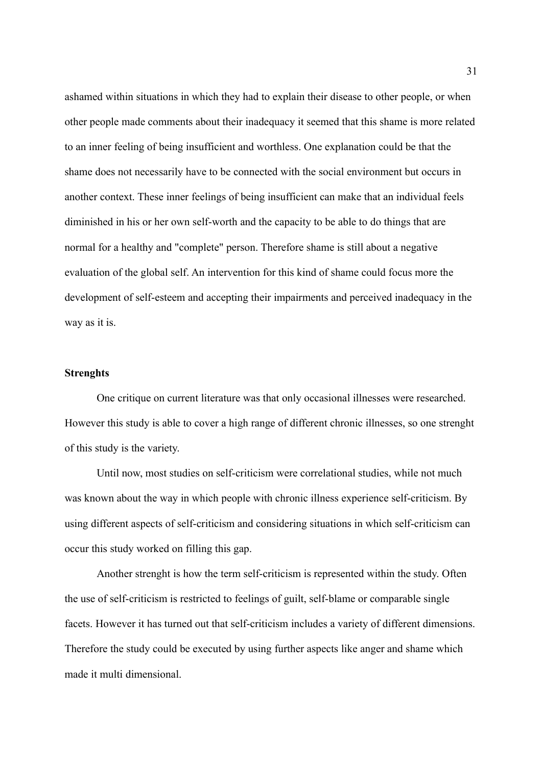ashamed within situations in which they had to explain their disease to other people, or when other people made comments about their inadequacy it seemed that this shame is more related to an inner feeling of being insufficient and worthless. One explanation could be that the shame does not necessarily have to be connected with the social environment but occurs in another context. These inner feelings of being insufficient can make that an individual feels diminished in his or her own self-worth and the capacity to be able to do things that are normal for a healthy and "complete" person. Therefore shame is still about a negative evaluation of the global self. An intervention for this kind of shame could focus more the development of self-esteem and accepting their impairments and perceived inadequacy in the way as it is.

### **Strenghts**

One critique on current literature was that only occasional illnesses were researched. However this study is able to cover a high range of different chronic illnesses, so one strenght of this study is the variety.

Until now, most studies on self-criticism were correlational studies, while not much was known about the way in which people with chronic illness experience self-criticism. By using different aspects of self-criticism and considering situations in which self-criticism can occur this study worked on filling this gap.

Another strenght is how the term self-criticism is represented within the study. Often the use of self-criticism is restricted to feelings of guilt, self-blame or comparable single facets. However it has turned out that self-criticism includes a variety of different dimensions. Therefore the study could be executed by using further aspects like anger and shame which made it multi dimensional.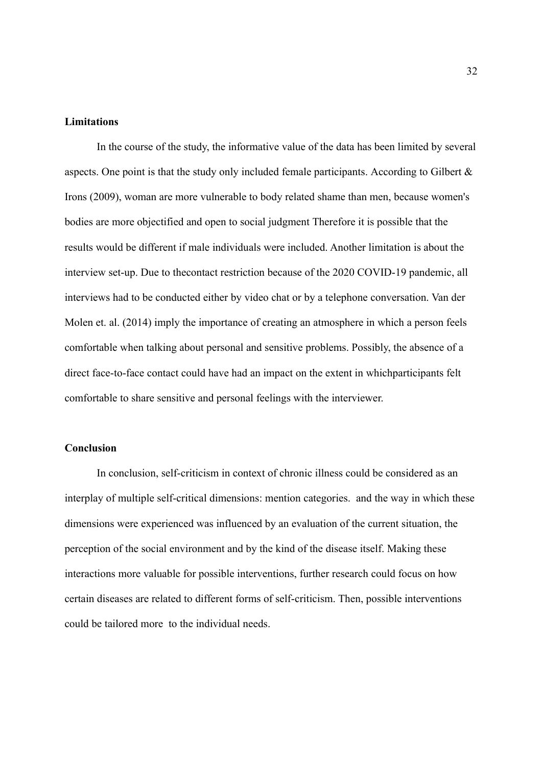#### **Limitations**

In the course of the study, the informative value of the data has been limited by several aspects. One point is that the study only included female participants. According to Gilbert  $\&$ Irons (2009), woman are more vulnerable to body related shame than men, because women's bodies are more objectified and open to social judgment Therefore it is possible that the results would be different if male individuals were included. Another limitation is about the interview set-up. Due to thecontact restriction because of the 2020 COVID-19 pandemic, all interviews had to be conducted either by video chat or by a telephone conversation. Van der Molen et. al. (2014) imply the importance of creating an atmosphere in which a person feels comfortable when talking about personal and sensitive problems. Possibly, the absence of a direct face-to-face contact could have had an impact on the extent in whichparticipants felt comfortable to share sensitive and personal feelings with the interviewer.

### **Conclusion**

In conclusion, self-criticism in context of chronic illness could be considered as an interplay of multiple self-critical dimensions: mention categories. and the way in which these dimensions were experienced was influenced by an evaluation of the current situation, the perception of the social environment and by the kind of the disease itself. Making these interactions more valuable for possible interventions, further research could focus on how certain diseases are related to different forms of self-criticism. Then, possible interventions could be tailored more to the individual needs.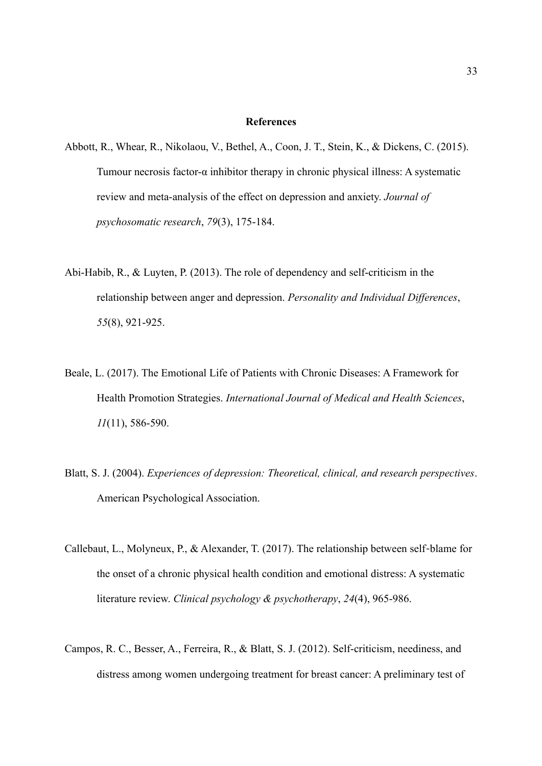#### **References**

- Abbott, R., Whear, R., Nikolaou, V., Bethel, A., Coon, J. T., Stein, K., & Dickens, C. (2015). Tumour necrosis factor-α inhibitor therapy in chronic physical illness: A systematic review and meta-analysis of the effect on depression and anxiety. *Journal of psychosomatic research*, *79*(3), 175-184.
- Abi-Habib, R., & Luyten, P. (2013). The role of dependency and self-criticism in the relationship between anger and depression. *Personality and Individual Differences*, *55*(8), 921-925.
- Beale, L. (2017). The Emotional Life of Patients with Chronic Diseases: A Framework for Health Promotion Strategies. *International Journal of Medical and Health Sciences*, *11*(11), 586-590.
- Blatt, S. J. (2004). *Experiences of depression: Theoretical, clinical, and research perspectives*. American Psychological Association.
- Callebaut, L., Molyneux, P., & Alexander, T. (2017). The relationship between self-blame for the onset of a chronic physical health condition and emotional distress: A systematic literature review. *Clinical psychology & psychotherapy*, *24*(4), 965-986.
- Campos, R. C., Besser, A., Ferreira, R., & Blatt, S. J. (2012). Self-criticism, neediness, and distress among women undergoing treatment for breast cancer: A preliminary test of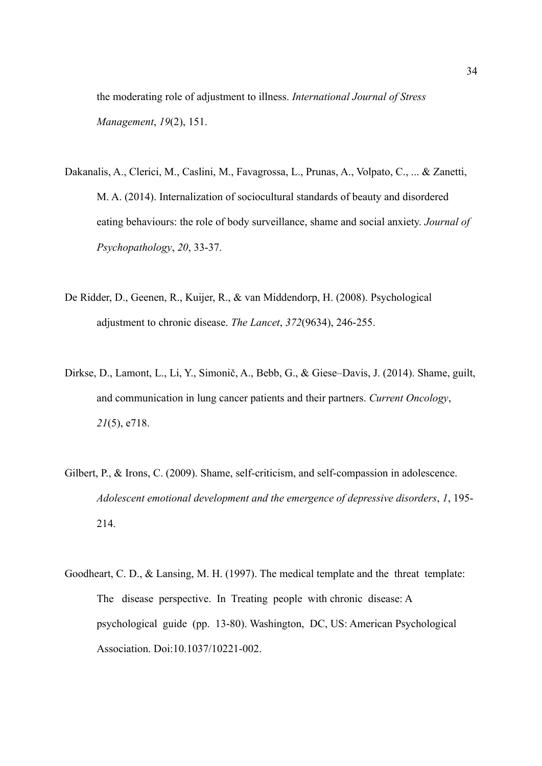the moderating role of adjustment to illness. *International Journal of Stress Management*, *19*(2), 151.

- Dakanalis, A., Clerici, M., Caslini, M., Favagrossa, L., Prunas, A., Volpato, C., ... & Zanetti, M. A. (2014). Internalization of sociocultural standards of beauty and disordered eating behaviours: the role of body surveillance, shame and social anxiety. *Journal of Psychopathology*, *20*, 33-37.
- De Ridder, D., Geenen, R., Kuijer, R., & van Middendorp, H. (2008). Psychological adjustment to chronic disease. *The Lancet*, *372*(9634), 246-255.
- Dirkse, D., Lamont, L., Li, Y., Simonič, A., Bebb, G., & Giese–Davis, J. (2014). Shame, guilt, and communication in lung cancer patients and their partners. *Current Oncology*, *21*(5), e718.
- Gilbert, P., & Irons, C. (2009). Shame, self-criticism, and self-compassion in adolescence. *Adolescent emotional development and the emergence of depressive disorders*, *1*, 195- 214.
- Goodheart, C. D., & Lansing, M. H. (1997). The medical template and the threat template: The disease perspective. In Treating people with chronic disease: A psychological guide (pp. 13-80). Washington, DC, US: American Psychological Association. Doi:10.1037/10221-002.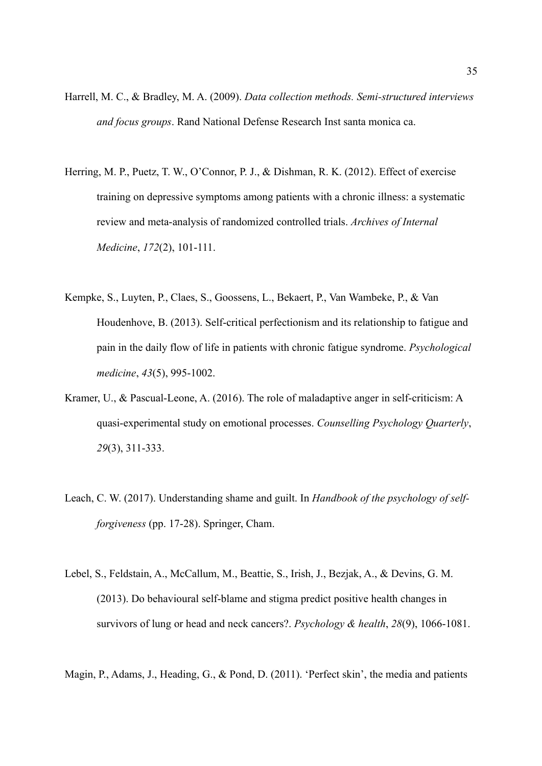- Harrell, M. C., & Bradley, M. A. (2009). *Data collection methods. Semi-structured interviews and focus groups*. Rand National Defense Research Inst santa monica ca.
- Herring, M. P., Puetz, T. W., O'Connor, P. J., & Dishman, R. K. (2012). Effect of exercise training on depressive symptoms among patients with a chronic illness: a systematic review and meta-analysis of randomized controlled trials. *Archives of Internal Medicine*, *172*(2), 101-111.
- Kempke, S., Luyten, P., Claes, S., Goossens, L., Bekaert, P., Van Wambeke, P., & Van Houdenhove, B. (2013). Self-critical perfectionism and its relationship to fatigue and pain in the daily flow of life in patients with chronic fatigue syndrome. *Psychological medicine*, *43*(5), 995-1002.
- Kramer, U., & Pascual-Leone, A. (2016). The role of maladaptive anger in self-criticism: A quasi-experimental study on emotional processes. *Counselling Psychology Quarterly*, *29*(3), 311-333.
- Leach, C. W. (2017). Understanding shame and guilt. In *Handbook of the psychology of selfforgiveness* (pp. 17-28). Springer, Cham.
- Lebel, S., Feldstain, A., McCallum, M., Beattie, S., Irish, J., Bezjak, A., & Devins, G. M. (2013). Do behavioural self-blame and stigma predict positive health changes in survivors of lung or head and neck cancers?. *Psychology & health*, *28*(9), 1066-1081.
- Magin, P., Adams, J., Heading, G., & Pond, D. (2011). 'Perfect skin', the media and patients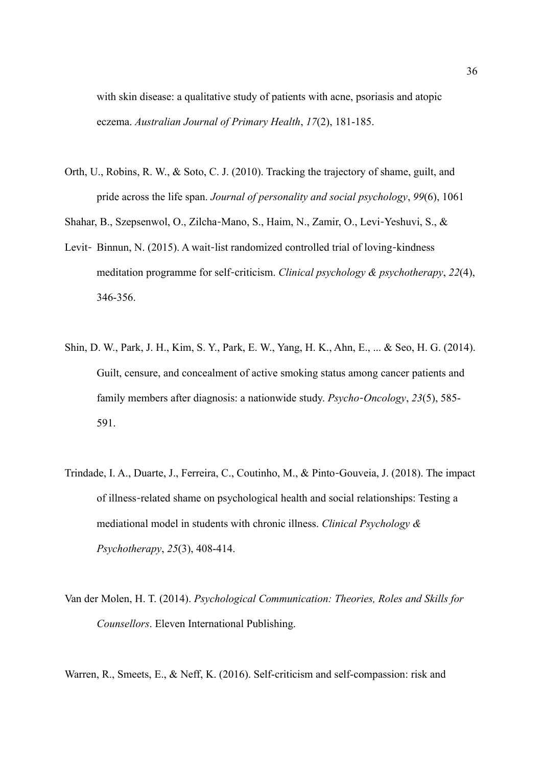with skin disease: a qualitative study of patients with acne, psoriasis and atopic eczema. *Australian Journal of Primary Health*, *17*(2), 181-185.

Orth, U., Robins, R. W., & Soto, C. J. (2010). Tracking the trajectory of shame, guilt, and pride across the life span. *Journal of personality and social psychology*, *99*(6), 1061

Shahar, B., Szepsenwol, O., Zilcha-Mano, S., Haim, N., Zamir, O., Levi-Yeshuvi, S., &

- Levit- Binnun, N. (2015). A wait-list randomized controlled trial of loving-kindness meditation programme for self-criticism. *Clinical psychology & psychotherapy*, 22(4), 346-356.
- Shin, D. W., Park, J. H., Kim, S. Y., Park, E. W., Yang, H. K., Ahn, E., ... & Seo, H. G. (2014). Guilt, censure, and concealment of active smoking status among cancer patients and family members after diagnosis: a nationwide study. *Psycho-Oncology*, 23(5), 585-591.
- Trindade, I. A., Duarte, J., Ferreira, C., Coutinho, M., & Pinto Gouveia, J. (2018). The impact ‐ of illness related shame on psychological health and social relationships: Testing a ‐ mediational model in students with chronic illness. *Clinical Psychology & Psychotherapy*, *25*(3), 408-414.
- Van der Molen, H. T. (2014). *Psychological Communication: Theories, Roles and Skills for Counsellors*. Eleven International Publishing.
- Warren, R., Smeets, E., & Neff, K. (2016). Self-criticism and self-compassion: risk and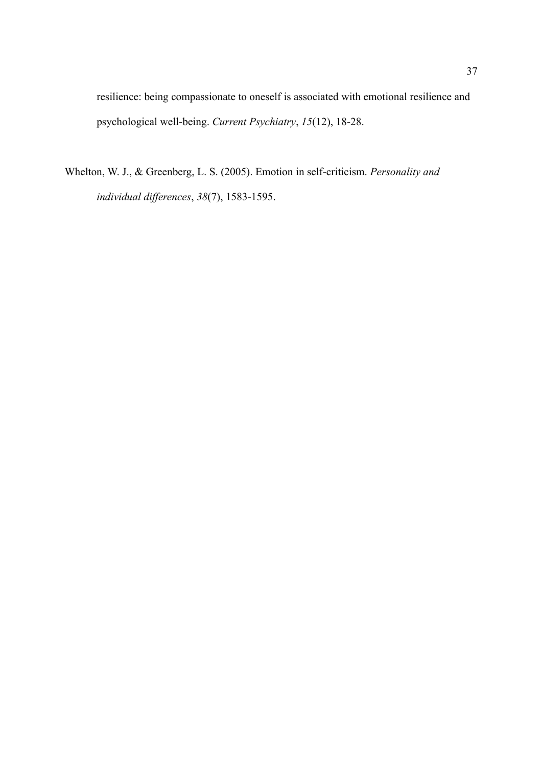resilience: being compassionate to oneself is associated with emotional resilience and psychological well-being. *Current Psychiatry*, *15*(12), 18-28.

Whelton, W. J., & Greenberg, L. S. (2005). Emotion in self-criticism. *Personality and individual differences*, *38*(7), 1583-1595.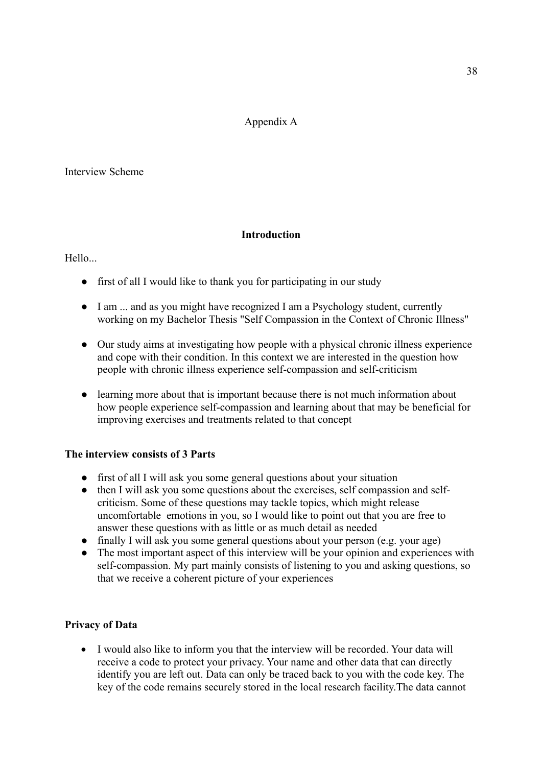# Appendix A

## Interview Scheme

# **Introduction**

Hello...

- first of all I would like to thank you for participating in our study
- I am ... and as you might have recognized I am a Psychology student, currently working on my Bachelor Thesis "Self Compassion in the Context of Chronic Illness"
- Our study aims at investigating how people with a physical chronic illness experience and cope with their condition. In this context we are interested in the question how people with chronic illness experience self-compassion and self-criticism
- learning more about that is important because there is not much information about how people experience self-compassion and learning about that may be beneficial for improving exercises and treatments related to that concept

# **The interview consists of 3 Parts**

- first of all I will ask you some general questions about your situation
- then I will ask you some questions about the exercises, self compassion and selfcriticism. Some of these questions may tackle topics, which might release uncomfortable emotions in you, so I would like to point out that you are free to answer these questions with as little or as much detail as needed
- finally I will ask you some general questions about your person (e.g. your age)
- The most important aspect of this interview will be your opinion and experiences with self-compassion. My part mainly consists of listening to you and asking questions, so that we receive a coherent picture of your experiences

# **Privacy of Data**

 I would also like to inform you that the interview will be recorded. Your data will receive a code to protect your privacy. Your name and other data that can directly identify you are left out. Data can only be traced back to you with the code key. The key of the code remains securely stored in the local research facility.The data cannot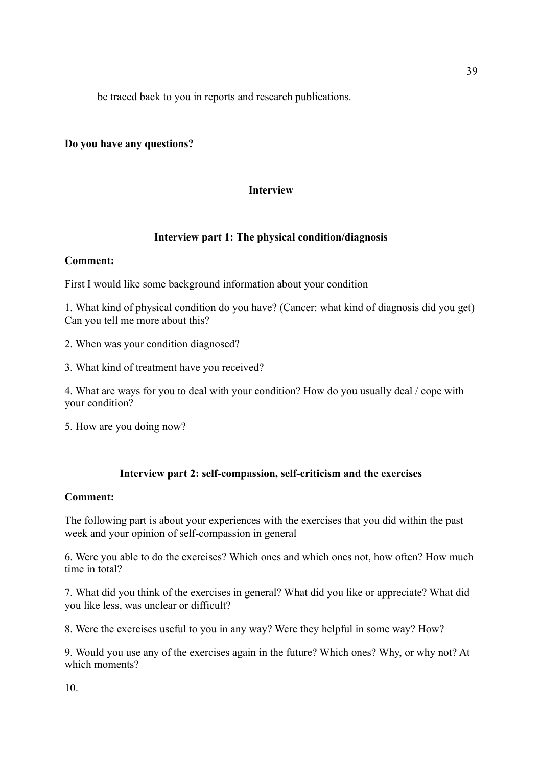be traced back to you in reports and research publications.

# **Do you have any questions?**

# **Interview**

# **Interview part 1: The physical condition/diagnosis**

# **Comment:**

First I would like some background information about your condition

1. What kind of physical condition do you have? (Cancer: what kind of diagnosis did you get) Can you tell me more about this?

- 2. When was your condition diagnosed?
- 3. What kind of treatment have you received?

4. What are ways for you to deal with your condition? How do you usually deal / cope with your condition?

5. How are you doing now?

# **Interview part 2: self-compassion, self-criticism and the exercises**

### **Comment:**

The following part is about your experiences with the exercises that you did within the past week and your opinion of self-compassion in general

6. Were you able to do the exercises? Which ones and which ones not, how often? How much time in total?

7. What did you think of the exercises in general? What did you like or appreciate? What did you like less, was unclear or difficult?

8. Were the exercises useful to you in any way? Were they helpful in some way? How?

9. Would you use any of the exercises again in the future? Which ones? Why, or why not? At which moments?

10.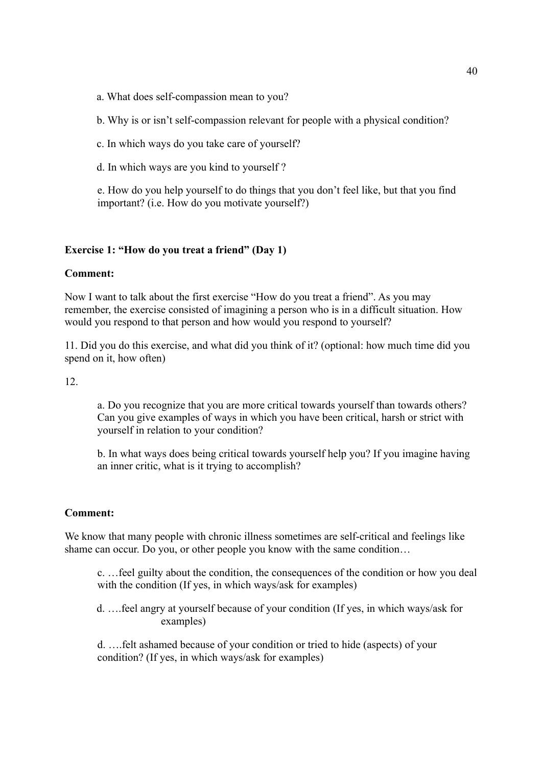a. What does self-compassion mean to you?

b. Why is or isn't self-compassion relevant for people with a physical condition?

c. In which ways do you take care of yourself?

d. In which ways are you kind to yourself ?

e. How do you help yourself to do things that you don't feel like, but that you find important? (i.e. How do you motivate yourself?)

# **Exercise 1: "How do you treat a friend" (Day 1)**

# **Comment:**

Now I want to talk about the first exercise "How do you treat a friend". As you may remember, the exercise consisted of imagining a person who is in a difficult situation. How would you respond to that person and how would you respond to yourself?

11. Did you do this exercise, and what did you think of it? (optional: how much time did you spend on it, how often)

12.

a. Do you recognize that you are more critical towards yourself than towards others? Can you give examples of ways in which you have been critical, harsh or strict with yourself in relation to your condition?

b. In what ways does being critical towards yourself help you? If you imagine having an inner critic, what is it trying to accomplish?

# **Comment:**

We know that many people with chronic illness sometimes are self-critical and feelings like shame can occur. Do you, or other people you know with the same condition...

c. …feel guilty about the condition, the consequences of the condition or how you deal with the condition (If yes, in which ways/ask for examples)

d. ….feel angry at yourself because of your condition (If yes, in which ways/ask for examples)

d. ….felt ashamed because of your condition or tried to hide (aspects) of your condition? (If yes, in which ways/ask for examples)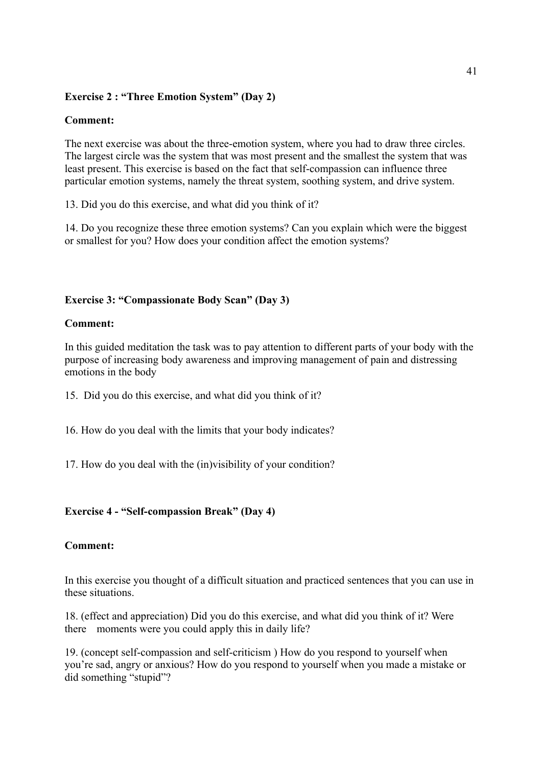# **Exercise 2 : "Three Emotion System" (Day 2)**

# **Comment:**

The next exercise was about the three-emotion system, where you had to draw three circles. The largest circle was the system that was most present and the smallest the system that was least present. This exercise is based on the fact that self-compassion can influence three particular emotion systems, namely the threat system, soothing system, and drive system.

13. Did you do this exercise, and what did you think of it?

14. Do you recognize these three emotion systems? Can you explain which were the biggest or smallest for you? How does your condition affect the emotion systems?

## **Exercise 3: "Compassionate Body Scan" (Day 3)**

### **Comment:**

In this guided meditation the task was to pay attention to different parts of your body with the purpose of increasing body awareness and improving management of pain and distressing emotions in the body

15. Did you do this exercise, and what did you think of it?

16. How do you deal with the limits that your body indicates?

17. How do you deal with the (in)visibility of your condition?

## **Exercise 4 - "Self-compassion Break" (Day 4)**

### **Comment:**

In this exercise you thought of a difficult situation and practiced sentences that you can use in these situations.

18. (effect and appreciation) Did you do this exercise, and what did you think of it? Were there moments were you could apply this in daily life?

19. (concept self-compassion and self-criticism ) How do you respond to yourself when you're sad, angry or anxious? How do you respond to yourself when you made a mistake or did something "stupid"?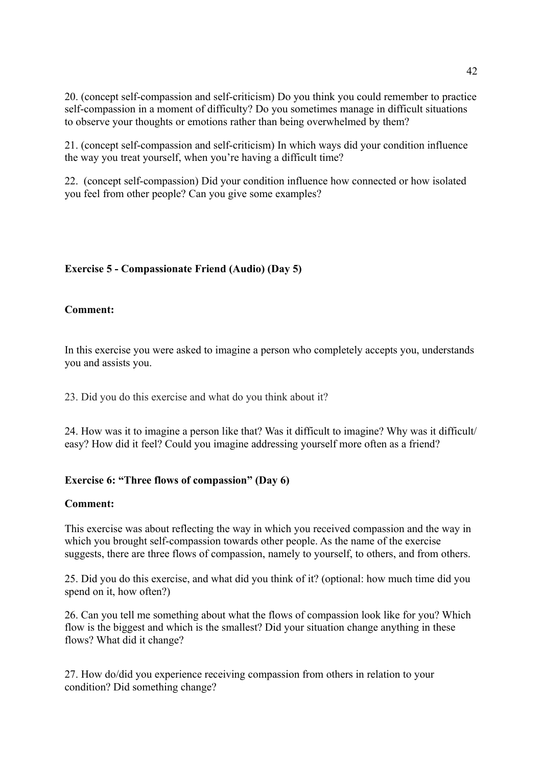20. (concept self-compassion and self-criticism) Do you think you could remember to practice self-compassion in a moment of difficulty? Do you sometimes manage in difficult situations to observe your thoughts or emotions rather than being overwhelmed by them?

21. (concept self-compassion and self-criticism) In which ways did your condition influence the way you treat yourself, when you're having a difficult time?

22. (concept self-compassion) Did your condition influence how connected or how isolated you feel from other people? Can you give some examples?

# **Exercise 5 - Compassionate Friend (Audio) (Day 5)**

## **Comment:**

In this exercise you were asked to imagine a person who completely accepts you, understands you and assists you.

23. Did you do this exercise and what do you think about it?

24. How was it to imagine a person like that? Was it difficult to imagine? Why was it difficult/ easy? How did it feel? Could you imagine addressing yourself more often as a friend?

### **Exercise 6: "Three flows of compassion" (Day 6)**

### **Comment:**

This exercise was about reflecting the way in which you received compassion and the way in which you brought self-compassion towards other people. As the name of the exercise suggests, there are three flows of compassion, namely to yourself, to others, and from others.

25. Did you do this exercise, and what did you think of it? (optional: how much time did you spend on it, how often?)

26. Can you tell me something about what the flows of compassion look like for you? Which flow is the biggest and which is the smallest? Did your situation change anything in these flows? What did it change?

27. How do/did you experience receiving compassion from others in relation to your condition? Did something change?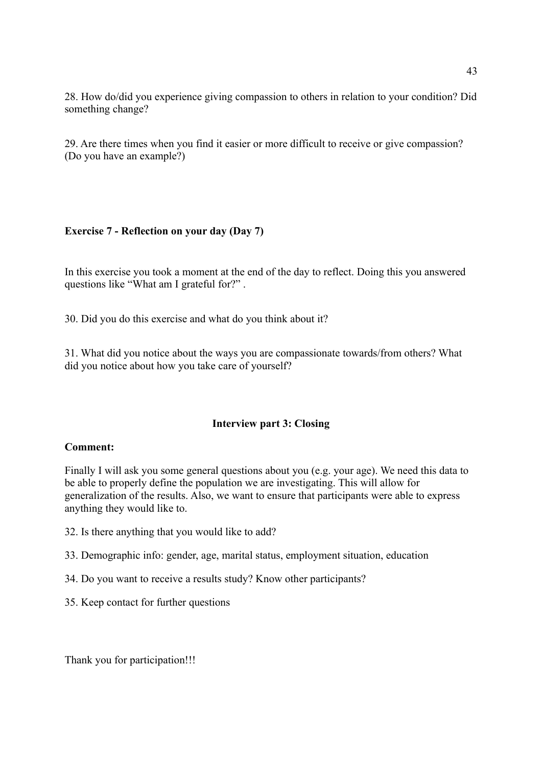28. How do/did you experience giving compassion to others in relation to your condition? Did something change?

29. Are there times when you find it easier or more difficult to receive or give compassion? (Do you have an example?)

### **Exercise 7 - Reflection on your day (Day 7)**

In this exercise you took a moment at the end of the day to reflect. Doing this you answered questions like "What am I grateful for?" .

30. Did you do this exercise and what do you think about it?

31. What did you notice about the ways you are compassionate towards/from others? What did you notice about how you take care of yourself?

### **Interview part 3: Closing**

#### **Comment:**

Finally I will ask you some general questions about you (e.g. your age). We need this data to be able to properly define the population we are investigating. This will allow for generalization of the results. Also, we want to ensure that participants were able to express anything they would like to.

- 32. Is there anything that you would like to add?
- 33. Demographic info: gender, age, marital status, employment situation, education
- 34. Do you want to receive a results study? Know other participants?
- 35. Keep contact for further questions

Thank you for participation!!!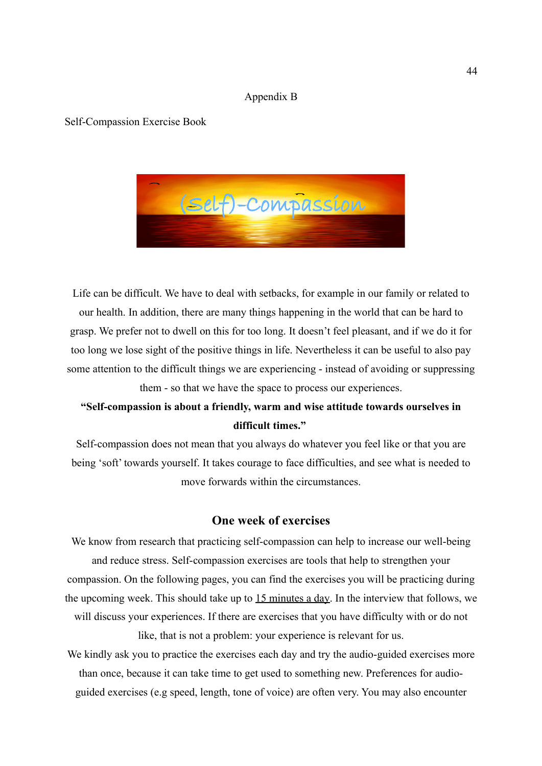#### Appendix B

#### Self-Compassion Exercise Book



Life can be difficult. We have to deal with setbacks, for example in our family or related to our health. In addition, there are many things happening in the world that can be hard to grasp. We prefer not to dwell on this for too long. It doesn't feel pleasant, and if we do it for too long we lose sight of the positive things in life. Nevertheless it can be useful to also pay some attention to the difficult things we are experiencing - instead of avoiding or suppressing them - so that we have the space to process our experiences.

# **"Self-compassion is about a friendly, warm and wise attitude towards ourselves in difficult times."**

Self-compassion does not mean that you always do whatever you feel like or that you are being 'soft' towards yourself. It takes courage to face difficulties, and see what is needed to move forwards within the circumstances.

# **One week of exercises**

We know from research that practicing self-compassion can help to increase our well-being and reduce stress. Self-compassion exercises are tools that help to strengthen your compassion. On the following pages, you can find the exercises you will be practicing during the upcoming week. This should take up to 15 minutes a day. In the interview that follows, we will discuss your experiences. If there are exercises that you have difficulty with or do not like, that is not a problem: your experience is relevant for us.

We kindly ask you to practice the exercises each day and try the audio-guided exercises more than once, because it can take time to get used to something new. Preferences for audioguided exercises (e.g speed, length, tone of voice) are often very. You may also encounter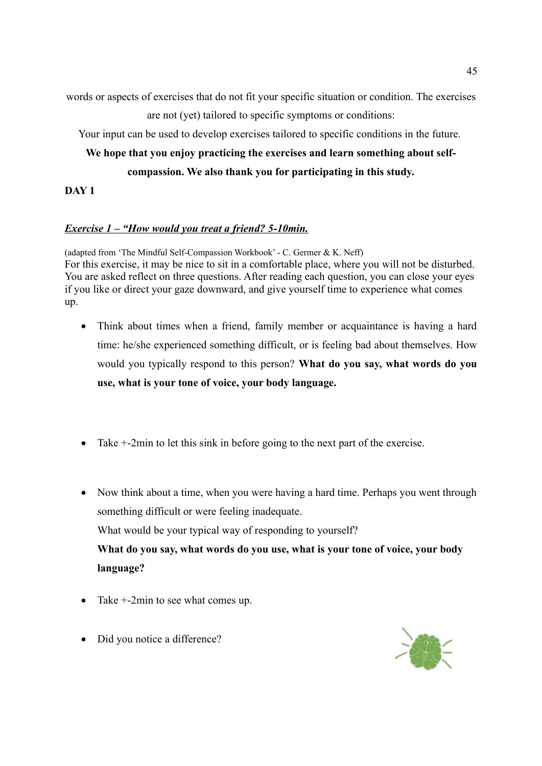words or aspects of exercises that do not fit your specific situation or condition. The exercises are not (yet) tailored to specific symptoms or conditions:

Your input can be used to develop exercises tailored to specific conditions in the future.

# **We hope that you enjoy practicing the exercises and learn something about selfcompassion. We also thank you for participating in this study.**

**DAY 1**

# *Exercise 1 – "How would you treat a friend? 5-10min.*

(adapted from 'The Mindful Self-Compassion Workbook' - C. Germer & K. Neff) For this exercise, it may be nice to sit in a comfortable place, where you will not be disturbed. You are asked reflect on three questions. After reading each question, you can close your eyes if you like or direct your gaze downward, and give yourself time to experience what comes up.

- Think about times when a friend, family member or acquaintance is having a hard time: he/she experienced something difficult, or is feeling bad about themselves. How would you typically respond to this person? **What do you say, what words do you use, what is your tone of voice, your body language.**
- Take  $+2$ min to let this sink in before going to the next part of the exercise.
- Now think about a time, when you were having a hard time. Perhaps you went through something difficult or were feeling inadequate. What would be your typical way of responding to yourself? **What do you say, what words do you use, what is your tone of voice, your body language?**
- Take  $+2$ min to see what comes up.
- Did you notice a difference?

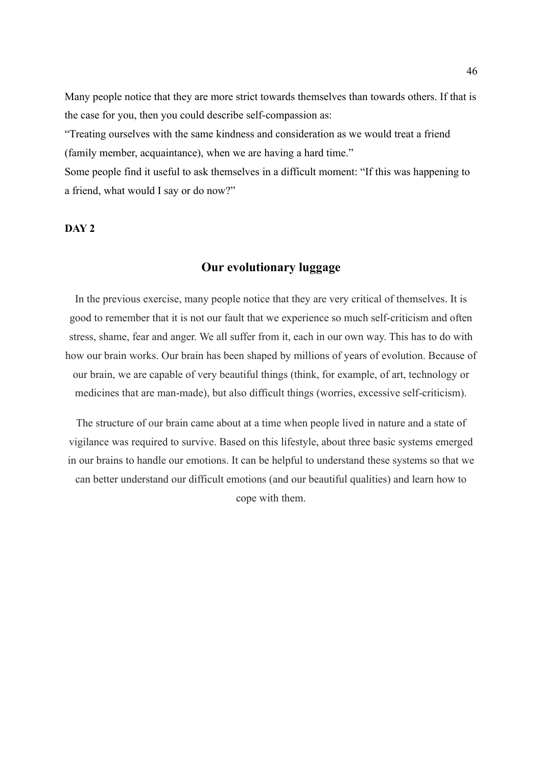Many people notice that they are more strict towards themselves than towards others. If that is the case for you, then you could describe self-compassion as:

"Treating ourselves with the same kindness and consideration as we would treat a friend (family member, acquaintance), when we are having a hard time."

Some people find it useful to ask themselves in a difficult moment: "If this was happening to a friend, what would I say or do now?"

## **DAY 2**

## **Our evolutionary luggage**

In the previous exercise, many people notice that they are very critical of themselves. It is good to remember that it is not our fault that we experience so much self-criticism and often stress, shame, fear and anger. We all suffer from it, each in our own way. This has to do with how our brain works. Our brain has been shaped by millions of years of evolution. Because of our brain, we are capable of very beautiful things (think, for example, of art, technology or medicines that are man-made), but also difficult things (worries, excessive self-criticism).

The structure of our brain came about at a time when people lived in nature and a state of vigilance was required to survive. Based on this lifestyle, about three basic systems emerged in our brains to handle our emotions. It can be helpful to understand these systems so that we can better understand our difficult emotions (and our beautiful qualities) and learn how to cope with them.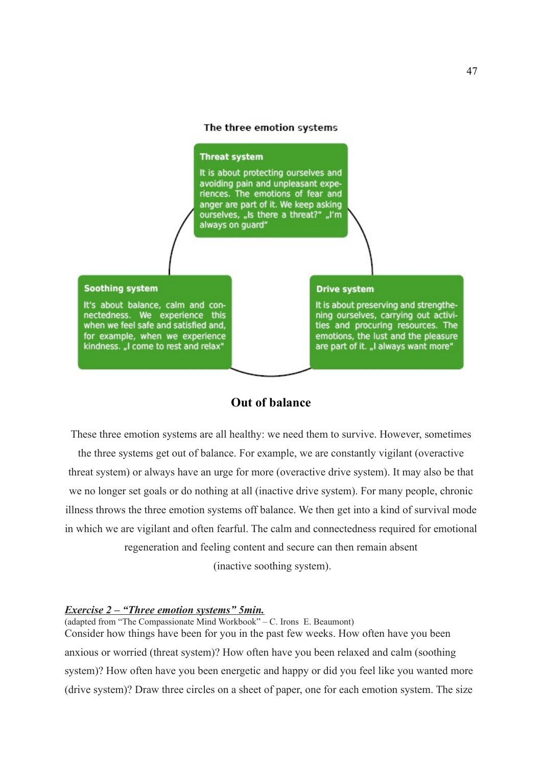#### The three emotion systems

#### **Threat system**

It is about protecting ourselves and avoiding pain and unpleasant experiences. The emotions of fear and anger are part of it. We keep asking ourselves, "Is there a threat?" "I'm always on quard"

#### **Soothing system**

It's about balance, calm and connectedness. We experience this<br>when we feel safe and satisfied and, for example, when we experience kindness. "I come to rest and relax"

#### **Drive system**

It is about preserving and strengthening ourselves, carrying out activities and procuring resources. The emotions, the lust and the pleasure are part of it. "I always want more'

# **Out of balance**

These three emotion systems are all healthy: we need them to survive. However, sometimes

the three systems get out of balance. For example, we are constantly vigilant (overactive threat system) or always have an urge for more (overactive drive system). It may also be that we no longer set goals or do nothing at all (inactive drive system). For many people, chronic illness throws the three emotion systems off balance. We then get into a kind of survival mode in which we are vigilant and often fearful. The calm and connectedness required for emotional regeneration and feeling content and secure can then remain absent

(inactive soothing system).

#### *Exercise 2 – "Three emotion systems" 5min.*

(adapted from "The Compassionate Mind Workbook" – C. Irons E. Beaumont) Consider how things have been for you in the past few weeks. How often have you been anxious or worried (threat system)? How often have you been relaxed and calm (soothing system)? How often have you been energetic and happy or did you feel like you wanted more (drive system)? Draw three circles on a sheet of paper, one for each emotion system. The size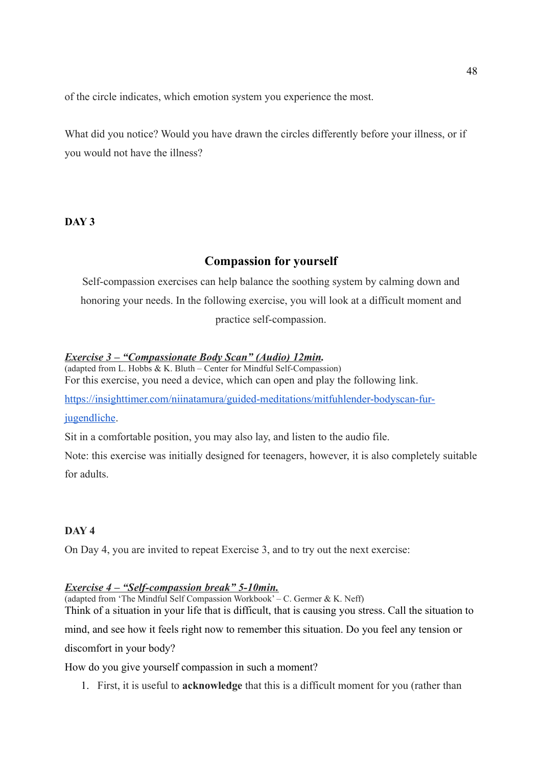of the circle indicates, which emotion system you experience the most.

What did you notice? Would you have drawn the circles differently before your illness, or if you would not have the illness?

## **DAY 3**

# **Compassion for yourself**

Self-compassion exercises can help balance the soothing system by calming down and honoring your needs. In the following exercise, you will look at a difficult moment and practice self-compassion.

# *Exercise 3 – "Compassionate Body Scan" (Audio) 12min.*

(adapted from L. Hobbs & K. Bluth – Center for Mindful Self-Compassion) For this exercise, you need a device, which can open and play the following link.

[https://insighttimer.com/niinatamura/guided-meditations/mitfuhlender-bodyscan-fur-](file:///h)

### [jugendliche.](file:///h)

Sit in a comfortable position, you may also lay, and listen to the audio file.

Note: this exercise was initially designed for teenagers, however, it is also completely suitable for adults.

# **DAY 4**

On Day 4, you are invited to repeat Exercise 3, and to try out the next exercise:

# *Exercise 4 – "Self-compassion break" 5-10min.*

(adapted from 'The Mindful Self Compassion Workbook' – C. Germer & K. Neff)

Think of a situation in your life that is difficult, that is causing you stress. Call the situation to

mind, and see how it feels right now to remember this situation. Do you feel any tension or discomfort in your body?

How do you give yourself compassion in such a moment?

1. First, it is useful to **acknowledge** that this is a difficult moment for you (rather than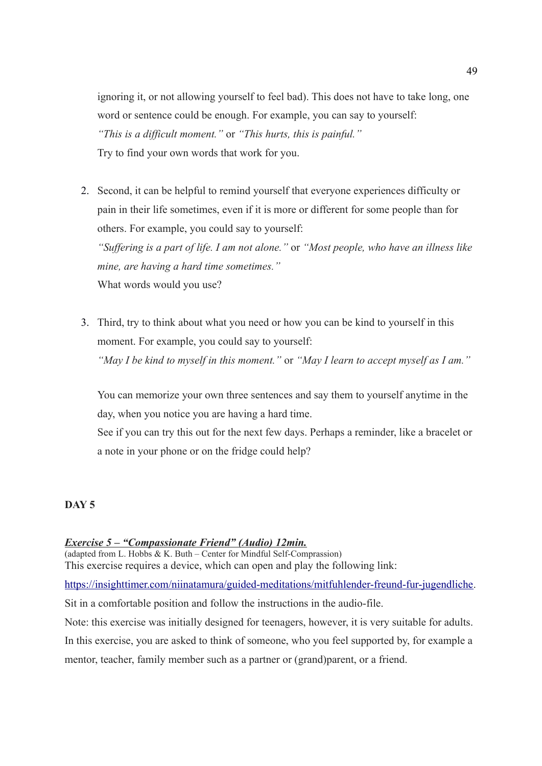ignoring it, or not allowing yourself to feel bad). This does not have to take long, one word or sentence could be enough. For example, you can say to yourself: *"This is a difficult moment."* or *"This hurts, this is painful."* Try to find your own words that work for you.

2. Second, it can be helpful to remind yourself that everyone experiences difficulty or pain in their life sometimes, even if it is more or different for some people than for others. For example, you could say to yourself: *"Suffering is a part of life. I am not alone."* or *"Most people, who have an illness like* 

*mine, are having a hard time sometimes."* What words would you use?

3. Third, try to think about what you need or how you can be kind to yourself in this moment. For example, you could say to yourself: *"May I be kind to myself in this moment."* or *"May I learn to accept myself as I am."*

You can memorize your own three sentences and say them to yourself anytime in the day, when you notice you are having a hard time.

See if you can try this out for the next few days. Perhaps a reminder, like a bracelet or a note in your phone or on the fridge could help?

# **DAY 5**

### *Exercise 5 – "Compassionate Friend" (Audio) 12min.*

(adapted from L. Hobbs & K. Buth – Center for Mindful Self-Comprassion) This exercise requires a device, which can open and play the following link:

[https://insighttimer.com/niinatamura/guided-meditations/mitfuhlender-freund-fur-jugendliche.](https://insighttimer.com/niinatamura/guided-meditations/mitfuhlender-freund-fur-jugendliche)

Sit in a comfortable position and follow the instructions in the audio-file.

Note: this exercise was initially designed for teenagers, however, it is very suitable for adults.

In this exercise, you are asked to think of someone, who you feel supported by, for example a mentor, teacher, family member such as a partner or (grand)parent, or a friend.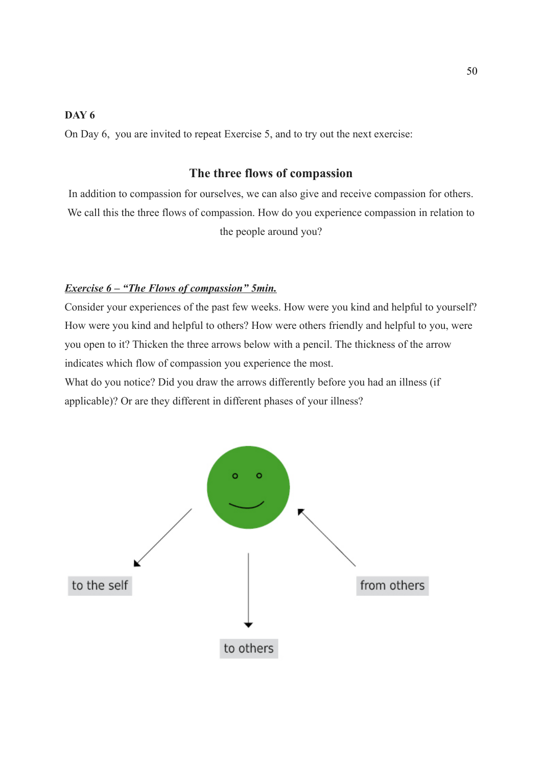# **DAY 6**

On Day 6, you are invited to repeat Exercise 5, and to try out the next exercise:

# **The three flows of compassion**

In addition to compassion for ourselves, we can also give and receive compassion for others. We call this the three flows of compassion. How do you experience compassion in relation to the people around you?

### *Exercise 6 – "The Flows of compassion" 5min.*

Consider your experiences of the past few weeks. How were you kind and helpful to yourself? How were you kind and helpful to others? How were others friendly and helpful to you, were you open to it? Thicken the three arrows below with a pencil. The thickness of the arrow indicates which flow of compassion you experience the most.

What do you notice? Did you draw the arrows differently before you had an illness (if applicable)? Or are they different in different phases of your illness?